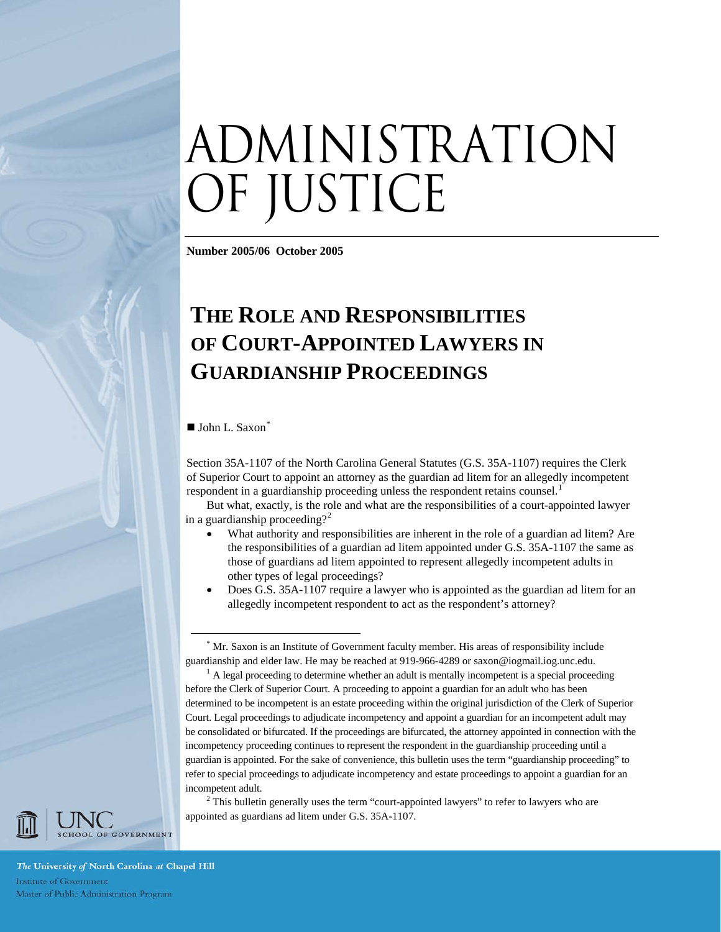# administration of justice

**Number 2005/06 October 2005** 

## **THE ROLE AND RESPONSIBILITIES OF COURT-APPOINTED LAWYERS IN GUARDIANSHIP PROCEEDINGS**

 $\blacksquare$  John L. Saxon[\\*](#page-25-0)

Section 35A-1107 of the North Carolina General Statutes (G.S. 35A-1107) requires the Clerk of Superior Court to appoint an attorney as the guardian ad litem for an allegedly incompetent respondent in a guardianship proceeding unless the respondent retains counsel.<sup>[1](#page-25-1)</sup>

But what, exactly, is the role and what are the responsibilities of a court-appointed lawyer in a guardianship proceeding?<sup>[2](#page-25-2)</sup>

- What authority and responsibilities are inherent in the role of a guardian ad litem? Are the responsibilities of a guardian ad litem appointed under G.S. 35A-1107 the same as those of guardians ad litem appointed to represent allegedly incompetent adults in other types of legal proceedings?
- Does G.S. 35A-1107 require a lawyer who is appointed as the guardian ad litem for an allegedly incompetent respondent to act as the respondent's attorney?

 $2$  This bulletin generally uses the term "court-appointed lawyers" to refer to lawyers who are appointed as guardians ad litem under G.S. 35A-1107.



The University of North Carolina at Chapel Hill Institute of Government Master of Public Administration Program

 <sup>\*</sup> Mr. Saxon is an Institute of Government faculty member. His areas of responsibility include guardianship and elder law. He may be reached at 919-966-4289 or saxon@iogmail.iog.unc.edu. 1

 $^1$  A legal proceeding to determine whether an adult is mentally incompetent is a special proceeding before the Clerk of Superior Court. A proceeding to appoint a guardian for an adult who has been determined to be incompetent is an estate proceeding within the original jurisdiction of the Clerk of Superior Court. Legal proceedings to adjudicate incompetency and appoint a guardian for an incompetent adult may be consolidated or bifurcated. If the proceedings are bifurcated, the attorney appointed in connection with the incompetency proceeding continues to represent the respondent in the guardianship proceeding until a guardian is appointed. For the sake of convenience, this bulletin uses the term "guardianship proceeding" to refer to special proceedings to adjudicate incompetency and estate proceedings to appoint a guardian for an incompetent adult.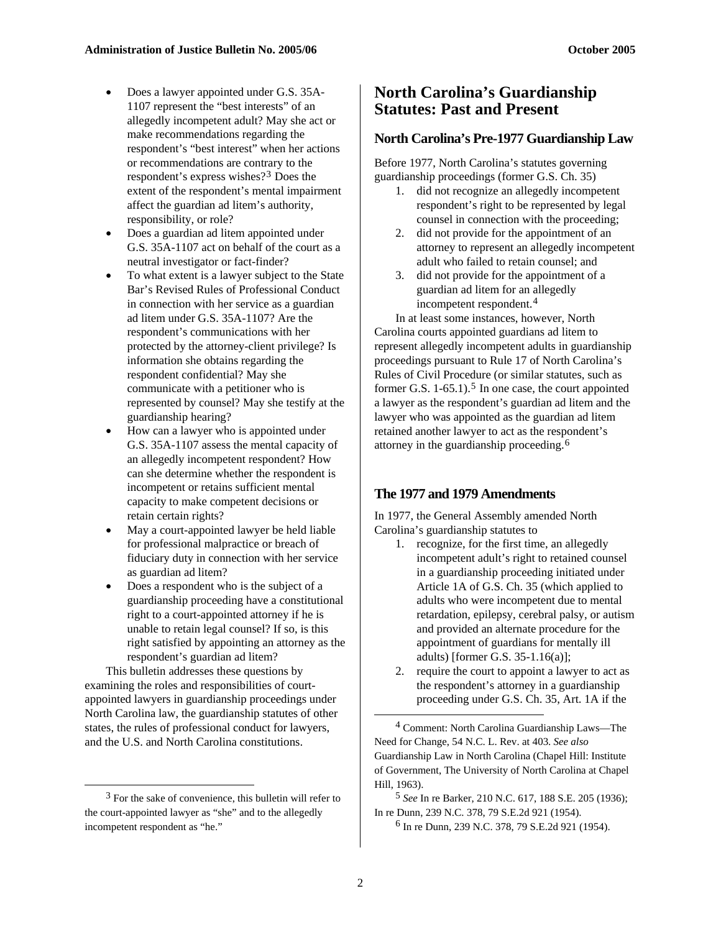- Does a lawyer appointed under G.S. 35A-1107 represent the "best interests" of an allegedly incompetent adult? May she act or make recommendations regarding the respondent's "best interest" when her actions or recommendations are contrary to the respondent's express wishes?[3](#page-1-0) Does the extent of the respondent's mental impairment affect the guardian ad litem's authority, responsibility, or role?
- Does a guardian ad litem appointed under G.S. 35A-1107 act on behalf of the court as a neutral investigator or fact-finder?
- To what extent is a lawyer subject to the State Bar's Revised Rules of Professional Conduct in connection with her service as a guardian ad litem under G.S. 35A-1107? Are the respondent's communications with her protected by the attorney-client privilege? Is information she obtains regarding the respondent confidential? May she communicate with a petitioner who is represented by counsel? May she testify at the guardianship hearing?
- How can a lawyer who is appointed under G.S. 35A-1107 assess the mental capacity of an allegedly incompetent respondent? How can she determine whether the respondent is incompetent or retains sufficient mental capacity to make competent decisions or retain certain rights?
- May a court-appointed lawyer be held liable for professional malpractice or breach of fiduciary duty in connection with her service as guardian ad litem?
- Does a respondent who is the subject of a guardianship proceeding have a constitutional right to a court-appointed attorney if he is unable to retain legal counsel? If so, is this right satisfied by appointing an attorney as the respondent's guardian ad litem?

<span id="page-1-1"></span>This bulletin addresses these questions by examining the roles and responsibilities of courtappointed lawyers in guardianship proceedings under North Carolina law, the guardianship statutes of other states, the rules of professional conduct for lawyers, and the U.S. and North Carolina constitutions.

 $\overline{a}$ 

## **North Carolina's Guardianship Statutes: Past and Present**

#### **North Carolina's Pre-1977 Guardianship Law**

Before 1977, North Carolina's statutes governing guardianship proceedings (former G.S. Ch. 35)

- 1. did not recognize an allegedly incompetent respondent's right to be represented by legal counsel in connection with the proceeding;
- 2. did not provide for the appointment of an attorney to represent an allegedly incompetent adult who failed to retain counsel; and
- 3. did not provide for the appointment of a guardian ad litem for an allegedly incompetent respondent.[4](#page-1-1)

In at least some instances, however, North Carolina courts appointed guardians ad litem to represent allegedly incompetent adults in guardianship proceedings pursuant to Rule 17 of North Carolina's Rules of Civil Procedure (or similar statutes, such as former G.S.  $1-65.1$  $1-65.1$  $1-65.1$ ).<sup>5</sup> In one case, the court appointed a lawyer as the respondent's guardian ad litem and the lawyer who was appointed as the guardian ad litem retained another lawyer to act as the respondent's attorney in the guardianship proceeding.[6](#page-1-2)

## **The 1977 and 1979 Amendments**

In 1977, the General Assembly amended North Carolina's guardianship statutes to

- 1. recognize, for the first time, an allegedly incompetent adult's right to retained counsel in a guardianship proceeding initiated under Article 1A of G.S. Ch. 35 (which applied to adults who were incompetent due to mental retardation, epilepsy, cerebral palsy, or autism and provided an alternate procedure for the appointment of guardians for mentally ill adults) [former G.S. 35-1.16(a)];
- 2. require the court to appoint a lawyer to act as the respondent's attorney in a guardianship proceeding under G.S. Ch. 35, Art. 1A if the

4 Comment: North Carolina Guardianship Laws—The Need for Change, 54 N.C. L. Rev. at 403. *See also* Guardianship Law in North Carolina (Chapel Hill: Institute of Government, The University of North Carolina at Chapel Hill, 1963).

5 *See* In re Barker, 210 N.C. 617, 188 S.E. 205 (1936); In re Dunn, 239 N.C. 378, 79 S.E.2d 921 (1954).

6 In re Dunn, 239 N.C. 378, 79 S.E.2d 921 (1954).

<span id="page-1-2"></span><span id="page-1-0"></span> $3$  For the sake of convenience, this bulletin will refer to the court-appointed lawyer as "she" and to the allegedly incompetent respondent as "he."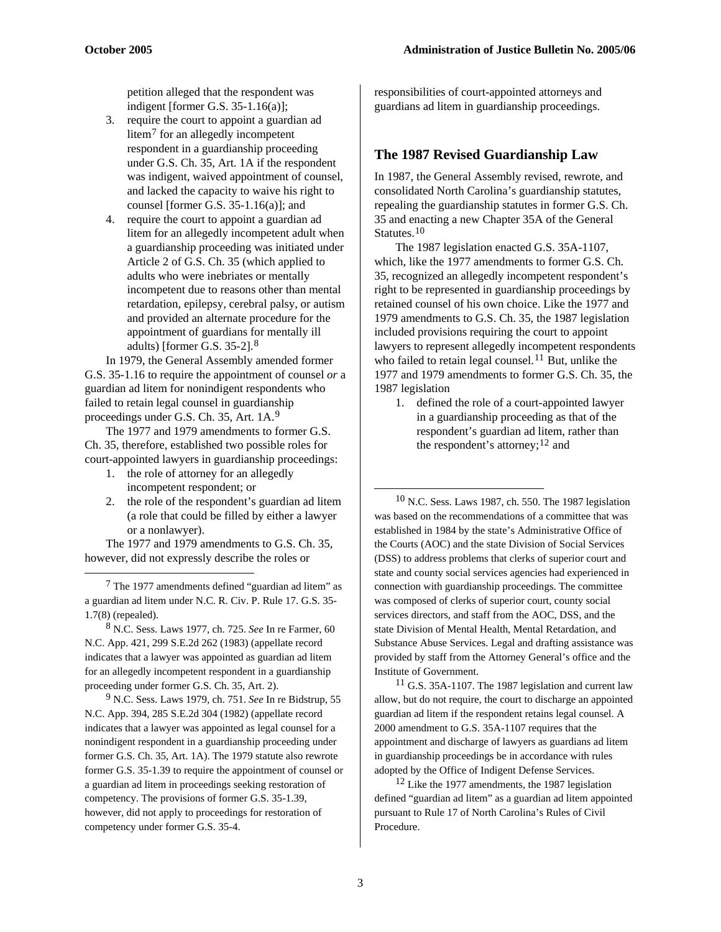petition alleged that the respondent was indigent [former G.S. 35-1.16(a)];

- 3. require the court to appoint a guardian ad litem[7](#page-2-0) for an allegedly incompetent respondent in a guardianship proceeding under G.S. Ch. 35, Art. 1A if the respondent was indigent, waived appointment of counsel, and lacked the capacity to waive his right to counsel [former G.S. 35-1.16(a)]; and
- 4. require the court to appoint a guardian ad litem for an allegedly incompetent adult when a guardianship proceeding was initiated under Article 2 of G.S. Ch. 35 (which applied to adults who were inebriates or mentally incompetent due to reasons other than mental retardation, epilepsy, cerebral palsy, or autism and provided an alternate procedure for the appointment of guardians for mentally ill adults) [former G.S. 35-2].[8](#page-2-1)

In 1979, the General Assembly amended former G.S. 35-1.16 to require the appointment of counsel *or* a guardian ad litem for nonindigent respondents who failed to retain legal counsel in guardianship proceedings under G.S. Ch. 35, Art. 1A.[9](#page-2-2)

The 1977 and 1979 amendments to former G.S. Ch. 35, therefore, established two possible roles for court-appointed lawyers in guardianship proceedings:

- 1. the role of attorney for an allegedly incompetent respondent; or
- 2. the role of the respondent's guardian ad litem (a role that could be filled by either a lawyer or a nonlawyer).

<span id="page-2-3"></span>The 1977 and 1979 amendments to G.S. Ch. 35, however, did not expressly describe the roles or

 $\overline{a}$ 

<span id="page-2-0"></span>7 The 1977 amendments defined "guardian ad litem" as a guardian ad litem under N.C. R. Civ. P. Rule 17. G.S. 35- 1.7(8) (repealed).

<span id="page-2-1"></span>8 N.C. Sess. Laws 1977, ch. 725. *See* In re Farmer, 60 N.C. App. 421, 299 S.E.2d 262 (1983) (appellate record indicates that a lawyer was appointed as guardian ad litem for an allegedly incompetent respondent in a guardianship proceeding under former G.S. Ch. 35, Art. 2). <sup>11</sup> G.S. 35A-1107. The 1987 legislation and current law

<span id="page-2-5"></span><span id="page-2-4"></span><span id="page-2-2"></span>9 N.C. Sess. Laws 1979, ch. 751. *See* In re Bidstrup, 55 N.C. App. 394, 285 S.E.2d 304 (1982) (appellate record indicates that a lawyer was appointed as legal counsel for a nonindigent respondent in a guardianship proceeding under former G.S. Ch. 35, Art. 1A). The 1979 statute also rewrote former G.S. 35-1.39 to require the appointment of counsel or a guardian ad litem in proceedings seeking restoration of competency. The provisions of former G.S. 35-1.39, however, did not apply to proceedings for restoration of competency under former G.S. 35-4.

responsibilities of court-appointed attorneys and guardians ad litem in guardianship proceedings.

#### **The 1987 Revised Guardianship Law**

In 1987, the General Assembly revised, rewrote, and consolidated North Carolina's guardianship statutes, repealing the guardianship statutes in former G.S. Ch. 35 and enacting a new Chapter 35A of the General Statutes.<sup>[10](#page-2-3)</sup>

The 1987 legislation enacted G.S. 35A-1107, which, like the 1977 amendments to former G.S. Ch. 35, recognized an allegedly incompetent respondent's right to be represented in guardianship proceedings by retained counsel of his own choice. Like the 1977 and 1979 amendments to G.S. Ch. 35, the 1987 legislation included provisions requiring the court to appoint lawyers to represent allegedly incompetent respondents who failed to retain legal counsel.<sup>[11](#page-2-4)</sup> But, unlike the 1977 and 1979 amendments to former G.S. Ch. 35, the 1987 legislation

1. defined the role of a court-appointed lawyer in a guardianship proceeding as that of the respondent's guardian ad litem, rather than the respondent's attorney;  $12$  and

 10 N.C. Sess. Laws 1987, ch. 550. The 1987 legislation was based on the recommendations of a committee that was established in 1984 by the state's Administrative Office of the Courts (AOC) and the state Division of Social Services (DSS) to address problems that clerks of superior court and state and county social services agencies had experienced in connection with guardianship proceedings. The committee was composed of clerks of superior court, county social services directors, and staff from the AOC, DSS, and the state Division of Mental Health, Mental Retardation, and Substance Abuse Services. Legal and drafting assistance was provided by staff from the Attorney General's office and the Institute of Government.

allow, but do not require, the court to discharge an appointed guardian ad litem if the respondent retains legal counsel. A 2000 amendment to G.S. 35A-1107 requires that the appointment and discharge of lawyers as guardians ad litem in guardianship proceedings be in accordance with rules adopted by the Office of Indigent Defense Services.

 $12$  Like the 1977 amendments, the 1987 legislation defined "guardian ad litem" as a guardian ad litem appointed pursuant to Rule 17 of North Carolina's Rules of Civil Procedure.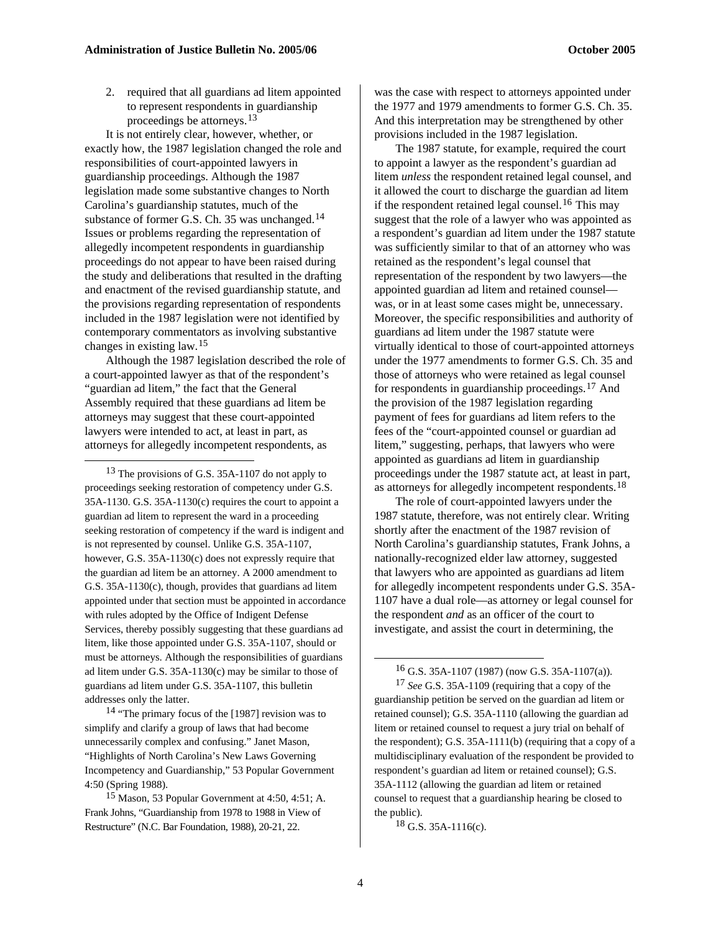2. required that all guardians ad litem appointed to represent respondents in guardianship proceedings be attorneys.[13](#page-3-0)

It is not entirely clear, however, whether, or exactly how, the 1987 legislation changed the role and responsibilities of court-appointed lawyers in guardianship proceedings. Although the 1987 legislation made some substantive changes to North Carolina's guardianship statutes, much of the substance of former G.S. Ch. 35 was unchanged.<sup>[14](#page-3-1)</sup> Issues or problems regarding the representation of allegedly incompetent respondents in guardianship proceedings do not appear to have been raised during the study and deliberations that resulted in the drafting and enactment of the revised guardianship statute, and the provisions regarding representation of respondents included in the 1987 legislation were not identified by contemporary commentators as involving substantive changes in existing law.[15](#page-3-2)

Although the 1987 legislation described the role of a court-appointed lawyer as that of the respondent's "guardian ad litem," the fact that the General Assembly required that these guardians ad litem be attorneys may suggest that these court-appointed lawyers were intended to act, at least in part, as attorneys for allegedly incompetent respondents, as

 $\overline{a}$ 

<span id="page-3-0"></span><sup>13</sup> The provisions of G.S. 35A-1107 do not apply to proceedings seeking restoration of competency under G.S. 35A-1130. G.S. 35A-1130(c) requires the court to appoint a guardian ad litem to represent the ward in a proceeding seeking restoration of competency if the ward is indigent and is not represented by counsel. Unlike G.S. 35A-1107, however, G.S. 35A-1130(c) does not expressly require that the guardian ad litem be an attorney. A 2000 amendment to G.S. 35A-1130(c), though, provides that guardians ad litem appointed under that section must be appointed in accordance with rules adopted by the Office of Indigent Defense Services, thereby possibly suggesting that these guardians ad litem, like those appointed under G.S. 35A-1107, should or must be attorneys. Although the responsibilities of guardians ad litem under G.S. 35A-1130(c) may be similar to those of guardians ad litem under G.S. 35A-1107, this bulletin addresses only the latter.

<span id="page-3-4"></span><span id="page-3-3"></span><span id="page-3-1"></span>14 "The primary focus of the [1987] revision was to simplify and clarify a group of laws that had become unnecessarily complex and confusing." Janet Mason, "Highlights of North Carolina's New Laws Governing Incompetency and Guardianship," 53 Popular Government 4:50 (Spring 1988).

<span id="page-3-5"></span><span id="page-3-2"></span>15 Mason, 53 Popular Government at 4:50, 4:51; A. Frank Johns, "Guardianship from 1978 to 1988 in View of Restructure" (N.C. Bar Foundation, 1988), 20-21, 22.

was the case with respect to attorneys appointed under the 1977 and 1979 amendments to former G.S. Ch. 35. And this interpretation may be strengthened by other provisions included in the 1987 legislation.

The 1987 statute, for example, required the court to appoint a lawyer as the respondent's guardian ad litem *unless* the respondent retained legal counsel, and it allowed the court to discharge the guardian ad litem if the respondent retained legal counsel.<sup>[16](#page-3-3)</sup> This may suggest that the role of a lawyer who was appointed as a respondent's guardian ad litem under the 1987 statute was sufficiently similar to that of an attorney who was retained as the respondent's legal counsel that representation of the respondent by two lawyers—the appointed guardian ad litem and retained counsel was, or in at least some cases might be, unnecessary. Moreover, the specific responsibilities and authority of guardians ad litem under the 1987 statute were virtually identical to those of court-appointed attorneys under the 1977 amendments to former G.S. Ch. 35 and those of attorneys who were retained as legal counsel for respondents in guardianship proceedings.[17](#page-3-4) And the provision of the 1987 legislation regarding payment of fees for guardians ad litem refers to the fees of the "court-appointed counsel or guardian ad litem," suggesting, perhaps, that lawyers who were appointed as guardians ad litem in guardianship proceedings under the 1987 statute act, at least in part, as attorneys for allegedly incompetent respondents.<sup>[18](#page-3-5)</sup>

The role of court-appointed lawyers under the 1987 statute, therefore, was not entirely clear. Writing shortly after the enactment of the 1987 revision of North Carolina's guardianship statutes, Frank Johns, a nationally-recognized elder law attorney, suggested that lawyers who are appointed as guardians ad litem for allegedly incompetent respondents under G.S. 35A-1107 have a dual role—as attorney or legal counsel for the respondent *and* as an officer of the court to investigate, and assist the court in determining, the

 $^{16}$  G.S. 35A-1107 (1987) (now G.S. 35A-1107(a)).

17 *See* G.S. 35A-1109 (requiring that a copy of the guardianship petition be served on the guardian ad litem or retained counsel); G.S. 35A-1110 (allowing the guardian ad litem or retained counsel to request a jury trial on behalf of the respondent); G.S. 35A-1111(b) (requiring that a copy of a multidisciplinary evaluation of the respondent be provided to respondent's guardian ad litem or retained counsel); G.S. 35A-1112 (allowing the guardian ad litem or retained counsel to request that a guardianship hearing be closed to the public).

18 G.S. 35A-1116(c).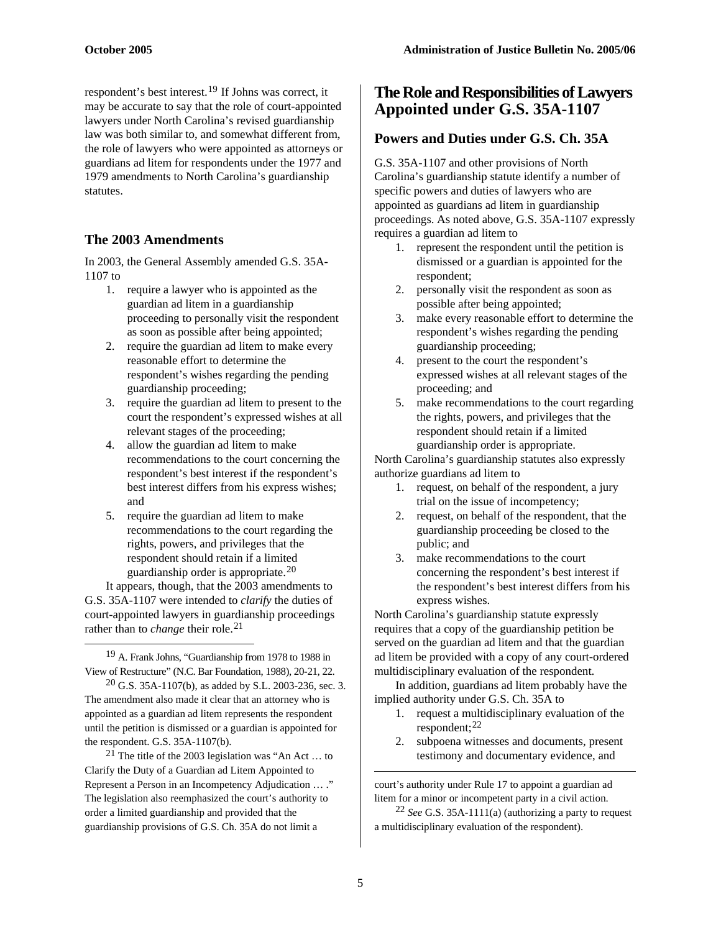respondent's best interest.[19](#page-4-0) If Johns was correct, it may be accurate to say that the role of court-appointed lawyers under North Carolina's revised guardianship law was both similar to, and somewhat different from, the role of lawyers who were appointed as attorneys or guardians ad litem for respondents under the 1977 and 1979 amendments to North Carolina's guardianship statutes.

## **The 2003 Amendments**

In 2003, the General Assembly amended G.S. 35A-1107 to

- 1. require a lawyer who is appointed as the guardian ad litem in a guardianship proceeding to personally visit the respondent as soon as possible after being appointed;
- 2. require the guardian ad litem to make every reasonable effort to determine the respondent's wishes regarding the pending guardianship proceeding;
- 3. require the guardian ad litem to present to the court the respondent's expressed wishes at all relevant stages of the proceeding;
- 4. allow the guardian ad litem to make recommendations to the court concerning the respondent's best interest if the respondent's best interest differs from his express wishes; and
- 5. require the guardian ad litem to make recommendations to the court regarding the rights, powers, and privileges that the respondent should retain if a limited guardianship order is appropriate.[20](#page-4-1)

It appears, though, that the 2003 amendments to G.S. 35A-1107 were intended to *clarify* the duties of court-appointed lawyers in guardianship proceedings rather than to *change* their role.<sup>[21](#page-4-2)</sup>  $\overline{a}$ 

<span id="page-4-0"></span>19 A. Frank Johns, "Guardianship from 1978 to 1988 in View of Restructure" (N.C. Bar Foundation, 1988), 20-21, 22.

<span id="page-4-1"></span> $20$  G.S. 35A-1107(b), as added by S.L. 2003-236, sec. 3. The amendment also made it clear that an attorney who is appointed as a guardian ad litem represents the respondent until the petition is dismissed or a guardian is appointed for the respondent. G.S. 35A-1107(b).

<span id="page-4-3"></span><span id="page-4-2"></span><sup>21</sup> The title of the 2003 legislation was "An Act ... to Clarify the Duty of a Guardian ad Litem Appointed to Represent a Person in an Incompetency Adjudication … ." The legislation also reemphasized the court's authority to order a limited guardianship and provided that the guardianship provisions of G.S. Ch. 35A do not limit a

## **The Role and Responsibilities of Lawyers Appointed under G.S. 35A-1107**

## **Powers and Duties under G.S. Ch. 35A**

G.S. 35A-1107 and other provisions of North Carolina's guardianship statute identify a number of specific powers and duties of lawyers who are appointed as guardians ad litem in guardianship proceedings. As noted above, G.S. 35A-1107 expressly requires a guardian ad litem to

- 1. represent the respondent until the petition is dismissed or a guardian is appointed for the respondent;
- 2. personally visit the respondent as soon as possible after being appointed;
- 3. make every reasonable effort to determine the respondent's wishes regarding the pending guardianship proceeding;
- 4. present to the court the respondent's expressed wishes at all relevant stages of the proceeding; and
- 5. make recommendations to the court regarding the rights, powers, and privileges that the respondent should retain if a limited guardianship order is appropriate.

North Carolina's guardianship statutes also expressly authorize guardians ad litem to

- 1. request, on behalf of the respondent, a jury trial on the issue of incompetency;
- 2. request, on behalf of the respondent, that the guardianship proceeding be closed to the public; and
- 3. make recommendations to the court concerning the respondent's best interest if the respondent's best interest differs from his express wishes.

North Carolina's guardianship statute expressly requires that a copy of the guardianship petition be served on the guardian ad litem and that the guardian ad litem be provided with a copy of any court-ordered multidisciplinary evaluation of the respondent.

In addition, guardians ad litem probably have the implied authority under G.S. Ch. 35A to

- 1. request a multidisciplinary evaluation of the respondent;<sup>[22](#page-4-3)</sup>
- 2. subpoena witnesses and documents, present testimony and documentary evidence, and

court's authority under Rule 17 to appoint a guardian ad litem for a minor or incompetent party in a civil action.

22 *See* G.S. 35A-1111(a) (authorizing a party to request a multidisciplinary evaluation of the respondent).

1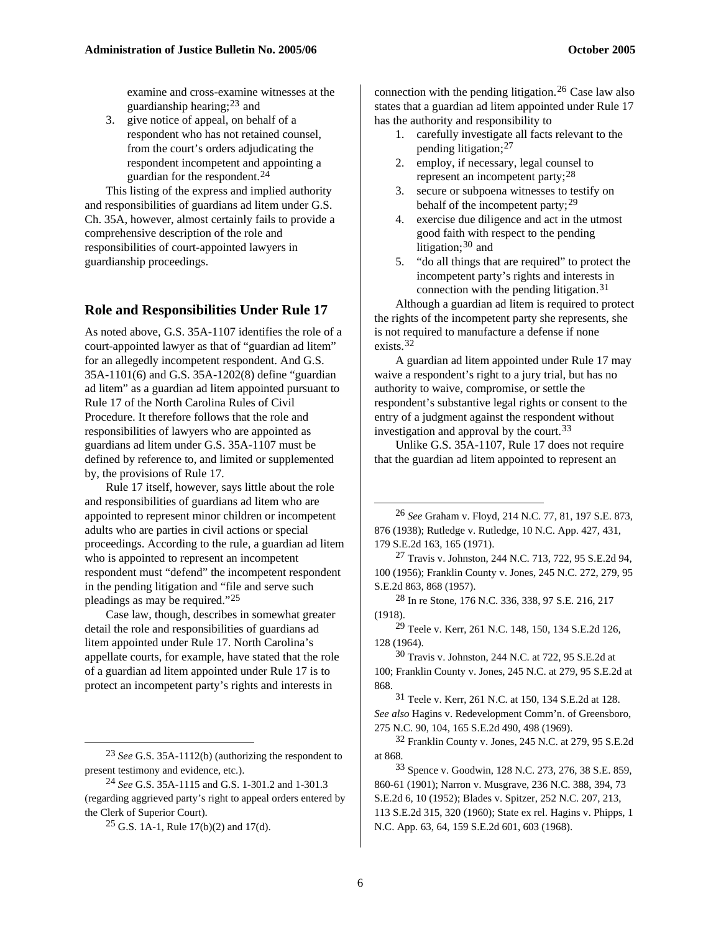examine and cross-examine witnesses at the guardianship hearing; $^{23}$  $^{23}$  $^{23}$  and

3. give notice of appeal, on behalf of a respondent who has not retained counsel, from the court's orders adjudicating the respondent incompetent and appointing a guardian for the respondent.[24](#page-5-1)

This listing of the express and implied authority and responsibilities of guardians ad litem under G.S. Ch. 35A, however, almost certainly fails to provide a comprehensive description of the role and responsibilities of court-appointed lawyers in guardianship proceedings.

#### **Role and Responsibilities Under Rule 17**

As noted above, G.S. 35A-1107 identifies the role of a court-appointed lawyer as that of "guardian ad litem" for an allegedly incompetent respondent. And G.S. 35A-1101(6) and G.S. 35A-1202(8) define "guardian ad litem" as a guardian ad litem appointed pursuant to Rule 17 of the North Carolina Rules of Civil Procedure. It therefore follows that the role and responsibilities of lawyers who are appointed as guardians ad litem under G.S. 35A-1107 must be defined by reference to, and limited or supplemented by, the provisions of Rule 17.

<span id="page-5-3"></span>Rule 17 itself, however, says little about the role and responsibilities of guardians ad litem who are appointed to represent minor children or incompetent adults who are parties in civil actions or special proceedings. According to the rule, a guardian ad litem who is appointed to represent an incompetent respondent must "defend" the incompetent respondent in the pending litigation and "file and serve such pleadings as may be required."[25](#page-5-2)

<span id="page-5-7"></span><span id="page-5-6"></span><span id="page-5-5"></span><span id="page-5-4"></span>Case law, though, describes in somewhat greater detail the role and responsibilities of guardians ad litem appointed under Rule 17. North Carolina's appellate courts, for example, have stated that the role of a guardian ad litem appointed under Rule 17 is to protect an incompetent party's rights and interests in

<span id="page-5-8"></span> $\overline{a}$ 

connection with the pending litigation.<sup>[26](#page-5-3)</sup> Case law also states that a guardian ad litem appointed under Rule 17 has the authority and responsibility to

- 1. carefully investigate all facts relevant to the pending litigation;[27](#page-5-4)
- 2. employ, if necessary, legal counsel to represent an incompetent party;[28](#page-5-5)
- 3. secure or subpoena witnesses to testify on behalf of the incompetent party;  $29$
- 4. exercise due diligence and act in the utmost good faith with respect to the pending litigation; $30$  and
- 5. "do all things that are required" to protect the incompetent party's rights and interests in connection with the pending litigation.[31](#page-5-8)

Although a guardian ad litem is required to protect the rights of the incompetent party she represents, she is not required to manufacture a defense if none exists.[32](#page-5-9)

A guardian ad litem appointed under Rule 17 may waive a respondent's right to a jury trial, but has no authority to waive, compromise, or settle the respondent's substantive legal rights or consent to the entry of a judgment against the respondent without investigation and approval by the court.<sup>[33](#page-5-10)</sup>

Unlike G.S. 35A-1107, Rule 17 does not require that the guardian ad litem appointed to represent an

27 Travis v. Johnston, 244 N.C. 713, 722, 95 S.E.2d 94, 100 (1956); Franklin County v. Jones, 245 N.C. 272, 279, 95 S.E.2d 863, 868 (1957).

28 In re Stone, 176 N.C. 336, 338, 97 S.E. 216, 217 (1918).

<sup>29</sup> Teele v. Kerr, 261 N.C. 148, 150, 134 S.E.2d 126, 128 (1964).

30 Travis v. Johnston, 244 N.C. at 722, 95 S.E.2d at 100; Franklin County v. Jones, 245 N.C. at 279, 95 S.E.2d at 868.

31 Teele v. Kerr, 261 N.C. at 150, 134 S.E.2d at 128. *See also* Hagins v. Redevelopment Comm'n. of Greensboro, 275 N.C. 90, 104, 165 S.E.2d 490, 498 (1969).

32 Franklin County v. Jones, 245 N.C. at 279, 95 S.E.2d at 868.

33 Spence v. Goodwin, 128 N.C. 273, 276, 38 S.E. 859, 860-61 (1901); Narron v. Musgrave, 236 N.C. 388, 394, 73 S.E.2d 6, 10 (1952); Blades v. Spitzer, 252 N.C. 207, 213, 113 S.E.2d 315, 320 (1960); State ex rel. Hagins v. Phipps, 1 N.C. App. 63, 64, 159 S.E.2d 601, 603 (1968).

<span id="page-5-10"></span><span id="page-5-9"></span><span id="page-5-0"></span><sup>23</sup> *See* G.S. 35A-1112(b) (authorizing the respondent to present testimony and evidence, etc.).

<span id="page-5-2"></span><span id="page-5-1"></span><sup>24</sup> *See* G.S. 35A-1115 and G.S. 1-301.2 and 1-301.3 (regarding aggrieved party's right to appeal orders entered by the Clerk of Superior Court).

 $25$  G.S. 1A-1, Rule 17(b)(2) and 17(d).

<sup>26</sup> *See* Graham v. Floyd, 214 N.C. 77, 81, 197 S.E. 873, 876 (1938); Rutledge v. Rutledge, 10 N.C. App. 427, 431, 179 S.E.2d 163, 165 (1971).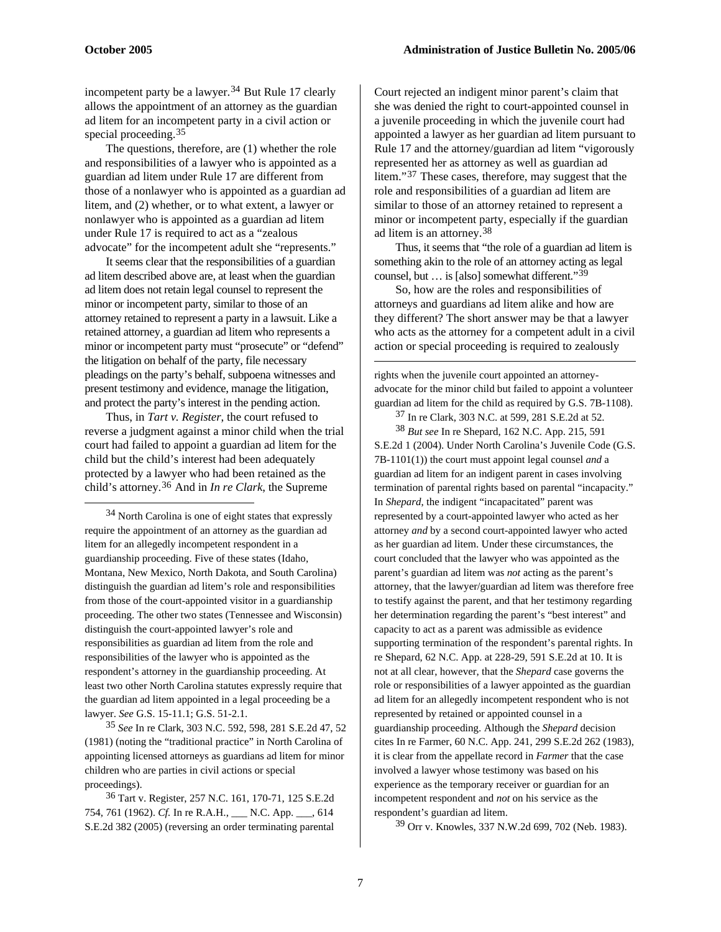1

incompetent party be a lawyer.<sup>[34](#page-6-0)</sup> But Rule 17 clearly allows the appointment of an attorney as the guardian ad litem for an incompetent party in a civil action or special proceeding.[35](#page-6-1)

The questions, therefore, are (1) whether the role and responsibilities of a lawyer who is appointed as a guardian ad litem under Rule 17 are different from those of a nonlawyer who is appointed as a guardian ad litem, and (2) whether, or to what extent, a lawyer or nonlawyer who is appointed as a guardian ad litem under Rule 17 is required to act as a "zealous advocate" for the incompetent adult she "represents."

It seems clear that the responsibilities of a guardian ad litem described above are, at least when the guardian ad litem does not retain legal counsel to represent the minor or incompetent party, similar to those of an attorney retained to represent a party in a lawsuit. Like a retained attorney, a guardian ad litem who represents a minor or incompetent party must "prosecute" or "defend" the litigation on behalf of the party, file necessary pleadings on the party's behalf, subpoena witnesses and present testimony and evidence, manage the litigation, and protect the party's interest in the pending action.

<span id="page-6-4"></span><span id="page-6-3"></span>Thus, in *Tart v. Register*, the court refused to reverse a judgment against a minor child when the trial court had failed to appoint a guardian ad litem for the child but the child's interest had been adequately protected by a lawyer who had been retained as the child's attorney.[36](#page-6-2) And in *In re Clark*, the Supreme

<span id="page-6-0"></span>34 North Carolina is one of eight states that expressly require the appointment of an attorney as the guardian ad litem for an allegedly incompetent respondent in a guardianship proceeding. Five of these states (Idaho, Montana, New Mexico, North Dakota, and South Carolina) distinguish the guardian ad litem's role and responsibilities from those of the court-appointed visitor in a guardianship proceeding. The other two states (Tennessee and Wisconsin) distinguish the court-appointed lawyer's role and responsibilities as guardian ad litem from the role and responsibilities of the lawyer who is appointed as the respondent's attorney in the guardianship proceeding. At least two other North Carolina statutes expressly require that the guardian ad litem appointed in a legal proceeding be a lawyer. *See* G.S. 15-11.1; G.S. 51-2.1.

<span id="page-6-1"></span>35 *See* In re Clark, 303 N.C. 592, 598, 281 S.E.2d 47, 52 (1981) (noting the "traditional practice" in North Carolina of appointing licensed attorneys as guardians ad litem for minor children who are parties in civil actions or special proceedings).

<span id="page-6-5"></span><span id="page-6-2"></span>36 Tart v. Register, 257 N.C. 161, 170-71, 125 S.E.2d 754, 761 (1962). *Cf.* In re R.A.H., \_\_\_ N.C. App. \_\_\_, 614 S.E.2d 382 (2005) (reversing an order terminating parental

Court rejected an indigent minor parent's claim that she was denied the right to court-appointed counsel in a juvenile proceeding in which the juvenile court had appointed a lawyer as her guardian ad litem pursuant to Rule 17 and the attorney/guardian ad litem "vigorously represented her as attorney as well as guardian ad litem."<sup>[37](#page-6-3)</sup> These cases, therefore, may suggest that the role and responsibilities of a guardian ad litem are similar to those of an attorney retained to represent a minor or incompetent party, especially if the guardian ad litem is an attorney.[38](#page-6-4)

Thus, it seems that "the role of a guardian ad litem is something akin to the role of an attorney acting as legal counsel, but … is [also] somewhat different."[39](#page-6-5)

So, how are the roles and responsibilities of attorneys and guardians ad litem alike and how are they different? The short answer may be that a lawyer who acts as the attorney for a competent adult in a civil action or special proceeding is required to zealously

rights when the juvenile court appointed an attorneyadvocate for the minor child but failed to appoint a volunteer guardian ad litem for the child as required by G.S. 7B-1108).

37 In re Clark, 303 N.C. at 599, 281 S.E.2d at 52.

38 *But see* In re Shepard, 162 N.C. App. 215, 591 S.E.2d 1 (2004). Under North Carolina's Juvenile Code (G.S. 7B-1101(1)) the court must appoint legal counsel *and* a guardian ad litem for an indigent parent in cases involving termination of parental rights based on parental "incapacity." In *Shepard*, the indigent "incapacitated" parent was represented by a court-appointed lawyer who acted as her attorney *and* by a second court-appointed lawyer who acted as her guardian ad litem. Under these circumstances, the court concluded that the lawyer who was appointed as the parent's guardian ad litem was *not* acting as the parent's attorney, that the lawyer/guardian ad litem was therefore free to testify against the parent, and that her testimony regarding her determination regarding the parent's "best interest" and capacity to act as a parent was admissible as evidence supporting termination of the respondent's parental rights. In re Shepard, 62 N.C. App. at 228-29, 591 S.E.2d at 10. It is not at all clear, however, that the *Shepard* case governs the role or responsibilities of a lawyer appointed as the guardian ad litem for an allegedly incompetent respondent who is not represented by retained or appointed counsel in a guardianship proceeding. Although the *Shepard* decision cites In re Farmer, 60 N.C. App. 241, 299 S.E.2d 262 (1983), it is clear from the appellate record in *Farmer* that the case involved a lawyer whose testimony was based on his experience as the temporary receiver or guardian for an incompetent respondent and *not* on his service as the respondent's guardian ad litem.

39 Orr v. Knowles, 337 N.W.2d 699, 702 (Neb. 1983).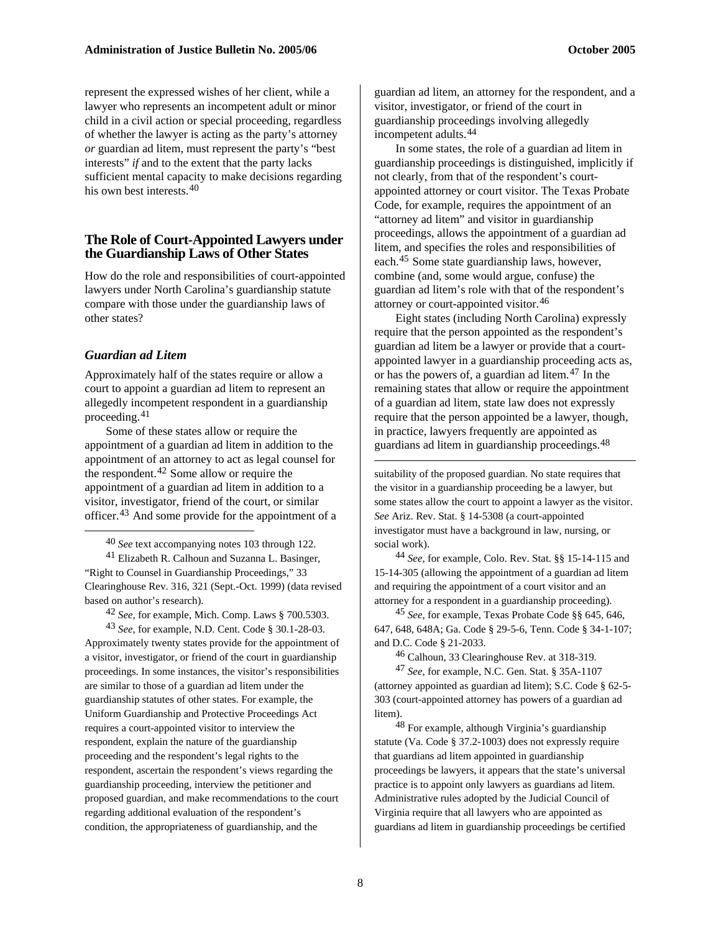represent the expressed wishes of her client, while a lawyer who represents an incompetent adult or minor child in a civil action or special proceeding, regardless of whether the lawyer is acting as the party's attorney *or* guardian ad litem, must represent the party's "best interests" *if* and to the extent that the party lacks sufficient mental capacity to make decisions regarding his own best interests.<sup>[40](#page-7-0)</sup>

#### **The Role of Court-Appointed Lawyers under the Guardianship Laws of Other States**

How do the role and responsibilities of court-appointed lawyers under North Carolina's guardianship statute compare with those under the guardianship laws of other states?

#### *Guardian ad Litem*

1

Approximately half of the states require or allow a court to appoint a guardian ad litem to represent an allegedly incompetent respondent in a guardianship proceeding.[41](#page-7-1)

Some of these states allow or require the appointment of a guardian ad litem in addition to the appointment of an attorney to act as legal counsel for the respondent.[42](#page-7-2) Some allow or require the appointment of a guardian ad litem in addition to a visitor, investigator, friend of the court, or similar officer.[43](#page-7-3) And some provide for the appointment of a

40 *See* text accompanying notes 103 through 122.

<span id="page-7-1"></span><span id="page-7-0"></span>41 Elizabeth R. Calhoun and Suzanna L. Basinger, "Right to Counsel in Guardianship Proceedings," 33 Clearinghouse Rev. 316, 321 (Sept.-Oct. 1999) (data revised based on author's research).

42 *See*, for example, Mich. Comp. Laws § 700.5303.

<span id="page-7-6"></span><span id="page-7-5"></span><span id="page-7-4"></span><span id="page-7-3"></span><span id="page-7-2"></span>43 *See*, for example, N.D. Cent. Code § 30.1-28-03. Approximately twenty states provide for the appointment of a visitor, investigator, or friend of the court in guardianship proceedings. In some instances, the visitor's responsibilities are similar to those of a guardian ad litem under the guardianship statutes of other states. For example, the Uniform Guardianship and Protective Proceedings Act requires a court-appointed visitor to interview the respondent, explain the nature of the guardianship proceeding and the respondent's legal rights to the respondent, ascertain the respondent's views regarding the guardianship proceeding, interview the petitioner and proposed guardian, and make recommendations to the court regarding additional evaluation of the respondent's condition, the appropriateness of guardianship, and the

guardian ad litem, an attorney for the respondent, and a visitor, investigator, or friend of the court in guardianship proceedings involving allegedly incompetent adults.[44](#page-7-1)

In some states, the role of a guardian ad litem in guardianship proceedings is distinguished, implicitly if not clearly, from that of the respondent's courtappointed attorney or court visitor. The Texas Probate Code, for example, requires the appointment of an "attorney ad litem" and visitor in guardianship proceedings, allows the appointment of a guardian ad litem, and specifies the roles and responsibilities of each.[45](#page-7-2) Some state guardianship laws, however, combine (and, some would argue, confuse) the guardian ad litem's role with that of the respondent's attorney or court-appointed visitor.[46](#page-7-4)

Eight states (including North Carolina) expressly require that the person appointed as the respondent's guardian ad litem be a lawyer or provide that a courtappointed lawyer in a guardianship proceeding acts as, or has the powers of, a guardian ad litem. $47$  In the remaining states that allow or require the appointment of a guardian ad litem, state law does not expressly require that the person appointed be a lawyer, though, in practice, lawyers frequently are appointed as guardians ad litem in guardianship proceedings.[48](#page-7-6)

suitability of the proposed guardian. No state requires that the visitor in a guardianship proceeding be a lawyer, but some states allow the court to appoint a lawyer as the visitor. *See* Ariz. Rev. Stat. § 14-5308 (a court-appointed investigator must have a background in law, nursing, or social work).

44 *See*, for example, Colo. Rev. Stat. §§ 15-14-115 and 15-14-305 (allowing the appointment of a guardian ad litem and requiring the appointment of a court visitor and an attorney for a respondent in a guardianship proceeding).

45 *See*, for example, Texas Probate Code §§ 645, 646, 647, 648, 648A; Ga. Code § 29-5-6, Tenn. Code § 34-1-107; and D.C. Code § 21-2033.

46 Calhoun, 33 Clearinghouse Rev. at 318-319.

47 *See*, for example, N.C. Gen. Stat. § 35A-1107 (attorney appointed as guardian ad litem); S.C. Code § 62-5- 303 (court-appointed attorney has powers of a guardian ad litem).

 $48$  For example, although Virginia's guardianship statute (Va. Code § 37.2-1003) does not expressly require that guardians ad litem appointed in guardianship proceedings be lawyers, it appears that the state's universal practice is to appoint only lawyers as guardians ad litem. Administrative rules adopted by the Judicial Council of Virginia require that all lawyers who are appointed as guardians ad litem in guardianship proceedings be certified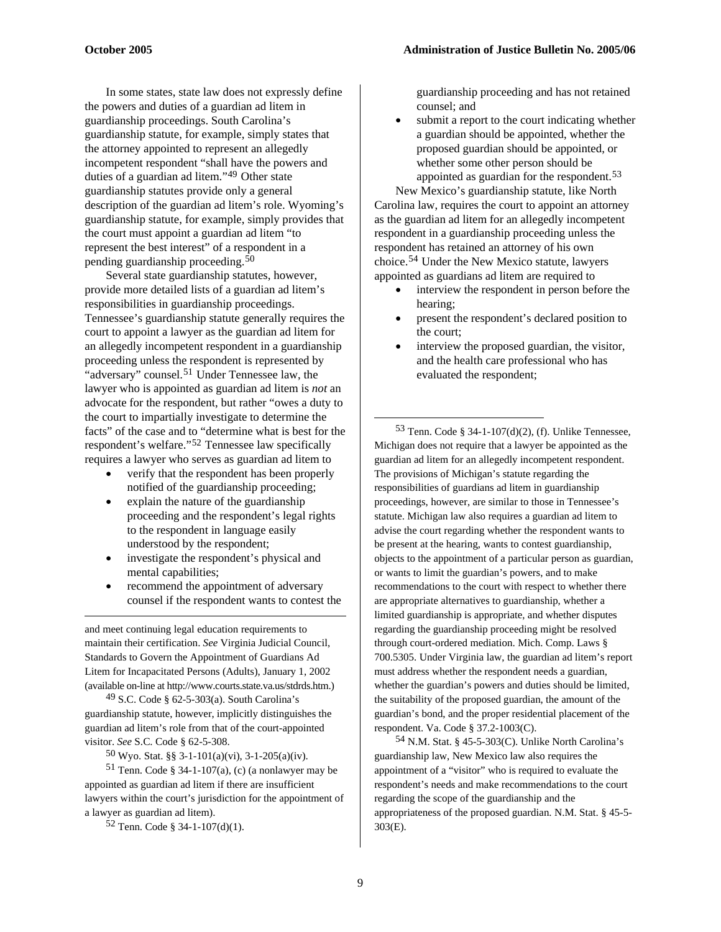In some states, state law does not expressly define the powers and duties of a guardian ad litem in guardianship proceedings. South Carolina's guardianship statute, for example, simply states that the attorney appointed to represent an allegedly incompetent respondent "shall have the powers and duties of a guardian ad litem."[49](#page-8-0) Other state guardianship statutes provide only a general description of the guardian ad litem's role. Wyoming's guardianship statute, for example, simply provides that the court must appoint a guardian ad litem "to represent the best interest" of a respondent in a pending guardianship proceeding.[50](#page-8-1)

Several state guardianship statutes, however, provide more detailed lists of a guardian ad litem's responsibilities in guardianship proceedings. Tennessee's guardianship statute generally requires the court to appoint a lawyer as the guardian ad litem for an allegedly incompetent respondent in a guardianship proceeding unless the respondent is represented by "adversary" counsel.<sup>[51](#page-8-2)</sup> Under Tennessee law, the lawyer who is appointed as guardian ad litem is *not* an advocate for the respondent, but rather "owes a duty to the court to impartially investigate to determine the facts" of the case and to "determine what is best for the respondent's welfare."[52](#page-8-3) Tennessee law specifically requires a lawyer who serves as guardian ad litem to

- <span id="page-8-4"></span>• verify that the respondent has been properly notified of the guardianship proceeding;
- explain the nature of the guardianship proceeding and the respondent's legal rights to the respondent in language easily understood by the respondent;
- investigate the respondent's physical and mental capabilities;
- recommend the appointment of adversary counsel if the respondent wants to contest the

and meet continuing legal education requirements to maintain their certification. *See* Virginia Judicial Council, Standards to Govern the Appointment of Guardians Ad Litem for Incapacitated Persons (Adults), January 1, 2002 (available on-line at http://www.courts.state.va.us/stdrds.htm.)

 $\overline{a}$ 

<span id="page-8-0"></span>49 S.C. Code § 62-5-303(a). South Carolina's guardianship statute, however, implicitly distinguishes the guardian ad litem's role from that of the court-appointed visitor. *See* S.C. Code § 62-5-308.

50 Wyo. Stat. §§ 3-1-101(a)(vi), 3-1-205(a)(iv).

<span id="page-8-5"></span><span id="page-8-3"></span><span id="page-8-2"></span><span id="page-8-1"></span>51 Tenn. Code § 34-1-107(a), (c) (a nonlawyer may be appointed as guardian ad litem if there are insufficient lawyers within the court's jurisdiction for the appointment of a lawyer as guardian ad litem).

 $52$  Tenn. Code § 34-1-107(d)(1).

guardianship proceeding and has not retained counsel; and

submit a report to the court indicating whether a guardian should be appointed, whether the proposed guardian should be appointed, or whether some other person should be appointed as guardian for the respondent.[53](#page-8-4)

New Mexico's guardianship statute, like North Carolina law, requires the court to appoint an attorney as the guardian ad litem for an allegedly incompetent respondent in a guardianship proceeding unless the respondent has retained an attorney of his own choice.[54](#page-8-5) Under the New Mexico statute, lawyers appointed as guardians ad litem are required to

- interview the respondent in person before the hearing;
- present the respondent's declared position to the court;
- interview the proposed guardian, the visitor, and the health care professional who has evaluated the respondent;

53 Tenn. Code § 34-1-107(d)(2), (f). Unlike Tennessee, Michigan does not require that a lawyer be appointed as the guardian ad litem for an allegedly incompetent respondent. The provisions of Michigan's statute regarding the responsibilities of guardians ad litem in guardianship proceedings, however, are similar to those in Tennessee's statute. Michigan law also requires a guardian ad litem to advise the court regarding whether the respondent wants to be present at the hearing, wants to contest guardianship, objects to the appointment of a particular person as guardian, or wants to limit the guardian's powers, and to make recommendations to the court with respect to whether there are appropriate alternatives to guardianship, whether a limited guardianship is appropriate, and whether disputes regarding the guardianship proceeding might be resolved through court-ordered mediation. Mich. Comp. Laws § 700.5305. Under Virginia law, the guardian ad litem's report must address whether the respondent needs a guardian, whether the guardian's powers and duties should be limited, the suitability of the proposed guardian, the amount of the guardian's bond, and the proper residential placement of the respondent. Va. Code § 37.2-1003(C).

54 N.M. Stat. § 45-5-303(C). Unlike North Carolina's guardianship law, New Mexico law also requires the appointment of a "visitor" who is required to evaluate the respondent's needs and make recommendations to the court regarding the scope of the guardianship and the appropriateness of the proposed guardian. N.M. Stat. § 45-5- 303(E).

1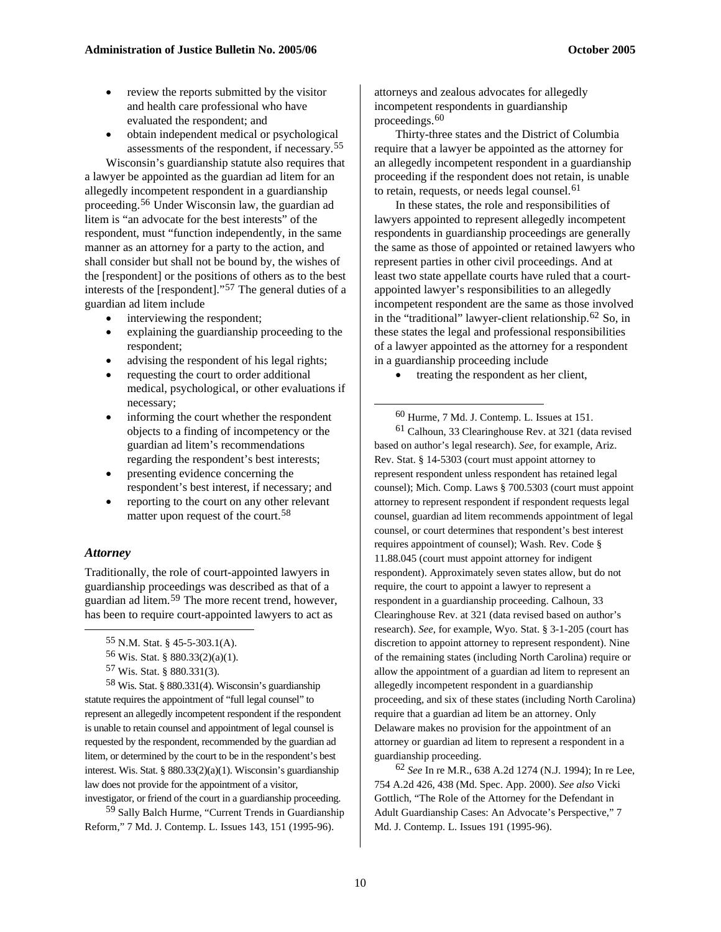- review the reports submitted by the visitor and health care professional who have evaluated the respondent; and
- obtain independent medical or psychological assessments of the respondent, if necessary.[55](#page-9-0)

Wisconsin's guardianship statute also requires that a lawyer be appointed as the guardian ad litem for an allegedly incompetent respondent in a guardianship proceeding.[56](#page-9-1) Under Wisconsin law, the guardian ad litem is "an advocate for the best interests" of the respondent, must "function independently, in the same manner as an attorney for a party to the action, and shall consider but shall not be bound by, the wishes of the [respondent] or the positions of others as to the best interests of the [respondent]."[57](#page-9-2) The general duties of a guardian ad litem include

- interviewing the respondent;
- explaining the guardianship proceeding to the respondent;
- advising the respondent of his legal rights;
- requesting the court to order additional medical, psychological, or other evaluations if necessary;
- <span id="page-9-6"></span><span id="page-9-5"></span>informing the court whether the respondent objects to a finding of incompetency or the guardian ad litem's recommendations regarding the respondent's best interests;
- presenting evidence concerning the respondent's best interest, if necessary; and
- reporting to the court on any other relevant matter upon request of the court.<sup>[58](#page-9-3)</sup>

#### *Attorney*

<span id="page-9-0"></span> $\overline{a}$ 

Traditionally, the role of court-appointed lawyers in guardianship proceedings was described as that of a guardian ad litem.[59](#page-9-4) The more recent trend, however, has been to require court-appointed lawyers to act as

```
56 Wis. Stat. § 880.33(2)(a)(1).
```

```
57 Wis. Stat. § 880.331(3).
```
<span id="page-9-3"></span><span id="page-9-2"></span><span id="page-9-1"></span>58 Wis. Stat. § 880.331(4). Wisconsin's guardianship statute requires the appointment of "full legal counsel" to represent an allegedly incompetent respondent if the respondent is unable to retain counsel and appointment of legal counsel is requested by the respondent, recommended by the guardian ad litem, or determined by the court to be in the respondent's best interest. Wis. Stat. § 880.33(2)(a)(1). Wisconsin's guardianship law does not provide for the appointment of a visitor, investigator, or friend of the court in a guardianship proceeding.

<span id="page-9-7"></span><span id="page-9-4"></span>59 Sally Balch Hurme, "Current Trends in Guardianship

Reform," 7 Md. J. Contemp. L. Issues 143, 151 (1995-96).

attorneys and zealous advocates for allegedly incompetent respondents in guardianship proceedings.[60](#page-9-5)

Thirty-three states and the District of Columbia require that a lawyer be appointed as the attorney for an allegedly incompetent respondent in a guardianship proceeding if the respondent does not retain, is unable to retain, requests, or needs legal counsel.<sup>[61](#page-9-6)</sup>

In these states, the role and responsibilities of lawyers appointed to represent allegedly incompetent respondents in guardianship proceedings are generally the same as those of appointed or retained lawyers who represent parties in other civil proceedings. And at least two state appellate courts have ruled that a courtappointed lawyer's responsibilities to an allegedly incompetent respondent are the same as those involved in the "traditional" lawyer-client relationship.[62](#page-9-7) So, in these states the legal and professional responsibilities of a lawyer appointed as the attorney for a respondent in a guardianship proceeding include

treating the respondent as her client,

60 Hurme, 7 Md. J. Contemp. L. Issues at 151.

61 Calhoun, 33 Clearinghouse Rev. at 321 (data revised based on author's legal research). *See*, for example, Ariz. Rev. Stat. § 14-5303 (court must appoint attorney to represent respondent unless respondent has retained legal counsel); Mich. Comp. Laws § 700.5303 (court must appoint attorney to represent respondent if respondent requests legal counsel, guardian ad litem recommends appointment of legal counsel, or court determines that respondent's best interest requires appointment of counsel); Wash. Rev. Code § 11.88.045 (court must appoint attorney for indigent respondent). Approximately seven states allow, but do not require, the court to appoint a lawyer to represent a respondent in a guardianship proceeding. Calhoun, 33 Clearinghouse Rev. at 321 (data revised based on author's research). *See*, for example, Wyo. Stat. § 3-1-205 (court has discretion to appoint attorney to represent respondent). Nine of the remaining states (including North Carolina) require or allow the appointment of a guardian ad litem to represent an allegedly incompetent respondent in a guardianship proceeding, and six of these states (including North Carolina) require that a guardian ad litem be an attorney. Only Delaware makes no provision for the appointment of an attorney or guardian ad litem to represent a respondent in a guardianship proceeding.

62 *See* In re M.R., 638 A.2d 1274 (N.J. 1994); In re Lee, 754 A.2d 426, 438 (Md. Spec. App. 2000). *See also* Vicki Gottlich, "The Role of the Attorney for the Defendant in Adult Guardianship Cases: An Advocate's Perspective," 7 Md. J. Contemp. L. Issues 191 (1995-96).

<sup>55</sup> N.M. Stat. § 45-5-303.1(A).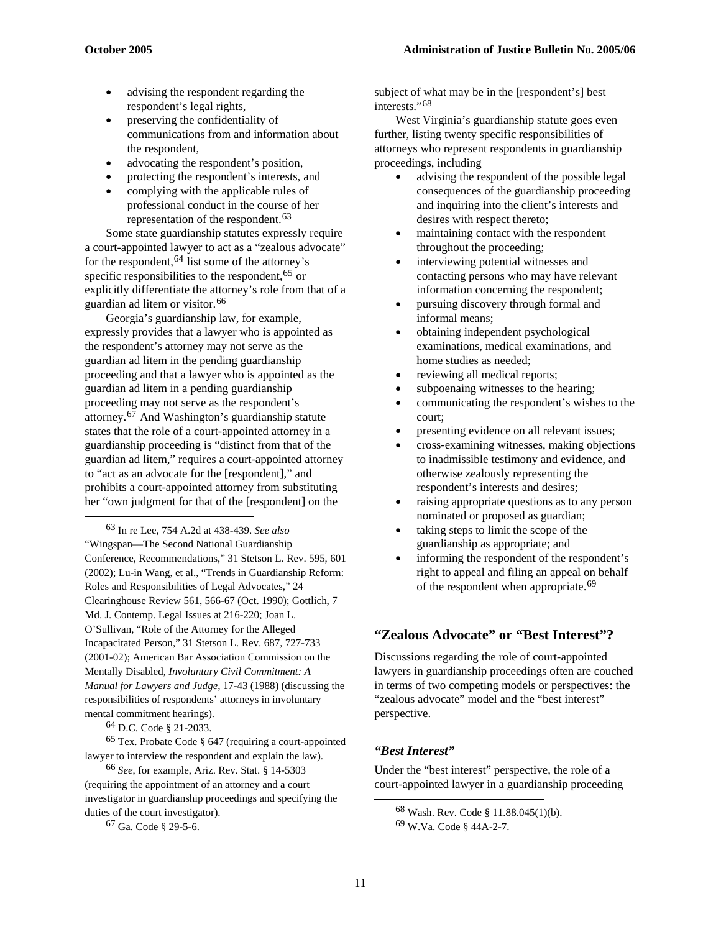- advising the respondent regarding the respondent's legal rights,
- preserving the confidentiality of communications from and information about the respondent,
- advocating the respondent's position,
- protecting the respondent's interests, and
- complying with the applicable rules of professional conduct in the course of her representation of the respondent.<sup>[63](#page-10-0)</sup>

Some state guardianship statutes expressly require a court-appointed lawyer to act as a "zealous advocate" for the respondent,  $64$  list some of the attorney's specific responsibilities to the respondent,  $65$  or explicitly differentiate the attorney's role from that of a guardian ad litem or visitor.[66](#page-10-3)

Georgia's guardianship law, for example, expressly provides that a lawyer who is appointed as the respondent's attorney may not serve as the guardian ad litem in the pending guardianship proceeding and that a lawyer who is appointed as the guardian ad litem in a pending guardianship proceeding may not serve as the respondent's attorney.[67](#page-10-4) And Washington's guardianship statute states that the role of a court-appointed attorney in a guardianship proceeding is "distinct from that of the guardian ad litem," requires a court-appointed attorney to "act as an advocate for the [respondent]," and prohibits a court-appointed attorney from substituting her "own judgment for that of the [respondent] on the

<span id="page-10-0"></span>63 In re Lee, 754 A.2d at 438-439. *See also*  "Wingspan—The Second National Guardianship Conference, Recommendations," 31 Stetson L. Rev. 595, 601 (2002); Lu-in Wang, et al., "Trends in Guardianship Reform: Roles and Responsibilities of Legal Advocates," 24 Clearinghouse Review 561, 566-67 (Oct. 1990); Gottlich, 7 Md. J. Contemp. Legal Issues at 216-220; Joan L. O'Sullivan, "Role of the Attorney for the Alleged Incapacitated Person," 31 Stetson L. Rev. 687, 727-733 (2001-02); American Bar Association Commission on the Mentally Disabled, *Involuntary Civil Commitment: A Manual for Lawyers and Judge*, 17-43 (1988) (discussing the responsibilities of respondents' attorneys in involuntary mental commitment hearings).

64 D.C. Code § 21-2033.

1

<span id="page-10-2"></span><span id="page-10-1"></span>65 Tex. Probate Code § 647 (requiring a court-appointed lawyer to interview the respondent and explain the law).

<span id="page-10-5"></span><span id="page-10-4"></span><span id="page-10-3"></span>66 *See*, for example, Ariz. Rev. Stat. § 14-5303 (requiring the appointment of an attorney and a court investigator in guardianship proceedings and specifying the duties of the court investigator).

67 Ga. Code § 29-5-6.

subject of what may be in the [respondent's] best interests."[68](#page-10-5)

West Virginia's guardianship statute goes even further, listing twenty specific responsibilities of attorneys who represent respondents in guardianship proceedings, including

- advising the respondent of the possible legal consequences of the guardianship proceeding and inquiring into the client's interests and desires with respect thereto;
- maintaining contact with the respondent throughout the proceeding;
- interviewing potential witnesses and contacting persons who may have relevant information concerning the respondent;
- pursuing discovery through formal and informal means;
- obtaining independent psychological examinations, medical examinations, and home studies as needed;
- reviewing all medical reports;
- subpoenaing witnesses to the hearing;
- communicating the respondent's wishes to the court;
- presenting evidence on all relevant issues;
- cross-examining witnesses, making objections to inadmissible testimony and evidence, and otherwise zealously representing the respondent's interests and desires;
- raising appropriate questions as to any person nominated or proposed as guardian;
- taking steps to limit the scope of the guardianship as appropriate; and
- informing the respondent of the respondent's right to appeal and filing an appeal on behalf of the respondent when appropriate.<sup>[69](#page-10-4)</sup>

## **"Zealous Advocate" or "Best Interest"?**

Discussions regarding the role of court-appointed lawyers in guardianship proceedings often are couched in terms of two competing models or perspectives: the "zealous advocate" model and the "best interest" perspective.

## *"Best Interest"*

Under the "best interest" perspective, the role of a court-appointed lawyer in a guardianship proceeding

<sup>68</sup> Wash. Rev. Code § 11.88.045(1)(b).

<sup>69</sup> W.Va. Code § 44A-2-7.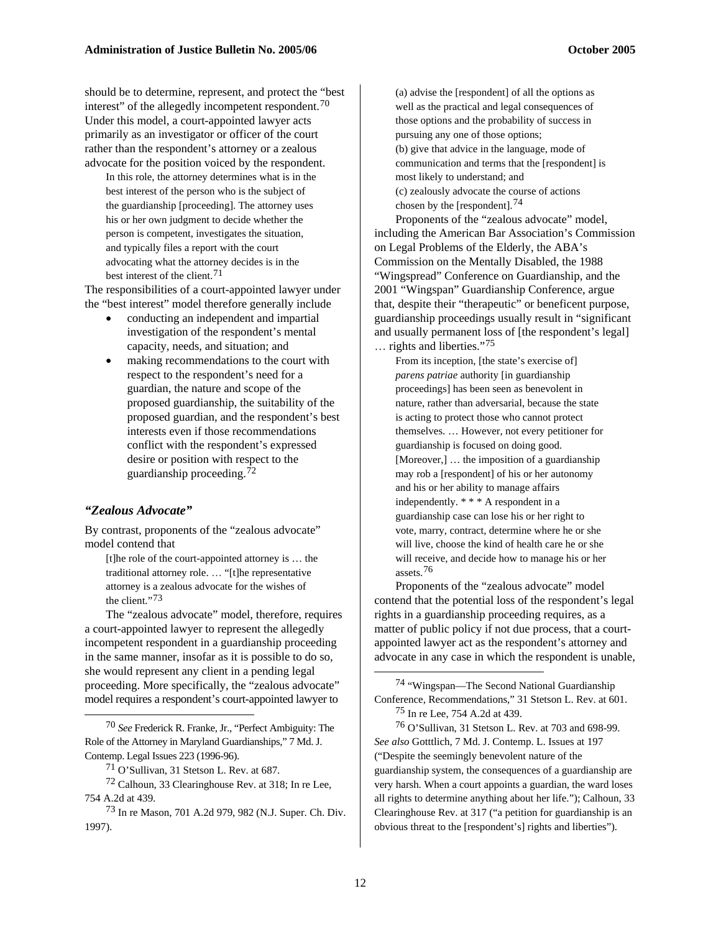should be to determine, represent, and protect the "best interest" of the allegedly incompetent respondent.<sup>[70](#page-11-0)</sup> Under this model, a court-appointed lawyer acts primarily as an investigator or officer of the court rather than the respondent's attorney or a zealous advocate for the position voiced by the respondent.

In this role, the attorney determines what is in the best interest of the person who is the subject of the guardianship [proceeding]. The attorney uses his or her own judgment to decide whether the person is competent, investigates the situation, and typically files a report with the court advocating what the attorney decides is in the best interest of the client.[71](#page-11-1)

The responsibilities of a court-appointed lawyer under the "best interest" model therefore generally include

- conducting an independent and impartial investigation of the respondent's mental capacity, needs, and situation; and
- making recommendations to the court with respect to the respondent's need for a guardian, the nature and scope of the proposed guardianship, the suitability of the proposed guardian, and the respondent's best interests even if those recommendations conflict with the respondent's expressed desire or position with respect to the guardianship proceeding.[72](#page-11-2)

#### *"Zealous Advocate"*

<span id="page-11-4"></span> $\overline{a}$ 

By contrast, proponents of the "zealous advocate" model contend that

[t]he role of the court-appointed attorney is … the traditional attorney role. … "[t]he representative attorney is a zealous advocate for the wishes of the client."[73](#page-11-3)

The "zealous advocate" model, therefore, requires a court-appointed lawyer to represent the allegedly incompetent respondent in a guardianship proceeding in the same manner, insofar as it is possible to do so, she would represent any client in a pending legal proceeding. More specifically, the "zealous advocate" model requires a respondent's court-appointed lawyer to

<span id="page-11-5"></span><span id="page-11-0"></span>70 *See* Frederick R. Franke, Jr., "Perfect Ambiguity: The Role of the Attorney in Maryland Guardianships," 7 Md. J. Contemp. Legal Issues 223 (1996-96).

<span id="page-11-2"></span><span id="page-11-1"></span>72 Calhoun, 33 Clearinghouse Rev. at 318; In re Lee, 754 A.2d at 439.

(a) advise the [respondent] of all the options as well as the practical and legal consequences of those options and the probability of success in pursuing any one of those options; (b) give that advice in the language, mode of

communication and terms that the [respondent] is most likely to understand; and (c) zealously advocate the course of actions chosen by the [respondent].[74](#page-11-4)

Proponents of the "zealous advocate" model, including the American Bar Association's Commission on Legal Problems of the Elderly, the ABA's Commission on the Mentally Disabled, the 1988 "Wingspread" Conference on Guardianship, and the 2001 "Wingspan" Guardianship Conference, argue that, despite their "therapeutic" or beneficent purpose, guardianship proceedings usually result in "significant and usually permanent loss of [the respondent's legal] … rights and liberties."[75](#page-11-5)

From its inception, [the state's exercise of] *parens patriae* authority [in guardianship proceedings] has been seen as benevolent in nature, rather than adversarial, because the state is acting to protect those who cannot protect themselves. … However, not every petitioner for guardianship is focused on doing good. [Moreover,] ... the imposition of a guardianship may rob a [respondent] of his or her autonomy and his or her ability to manage affairs independently. \* \* \* A respondent in a guardianship case can lose his or her right to vote, marry, contract, determine where he or she will live, choose the kind of health care he or she will receive, and decide how to manage his or her assets.[76](#page-11-0)

Proponents of the "zealous advocate" model contend that the potential loss of the respondent's legal rights in a guardianship proceeding requires, as a matter of public policy if not due process, that a courtappointed lawyer act as the respondent's attorney and advocate in any case in which the respondent is unable,

<sup>71</sup> O'Sullivan, 31 Stetson L. Rev. at 687.

<span id="page-11-3"></span><sup>73</sup> In re Mason, 701 A.2d 979, 982 (N.J. Super. Ch. Div. 1997).

<sup>74 &</sup>quot;Wingspan—The Second National Guardianship Conference, Recommendations," 31 Stetson L. Rev. at 601. 75 In re Lee, 754 A.2d at 439.

<sup>76</sup> O'Sullivan, 31 Stetson L. Rev. at 703 and 698-99. *See also* Gotttlich, 7 Md. J. Contemp. L. Issues at 197 ("Despite the seemingly benevolent nature of the guardianship system, the consequences of a guardianship are very harsh. When a court appoints a guardian, the ward loses all rights to determine anything about her life."); Calhoun, 33 Clearinghouse Rev. at 317 ("a petition for guardianship is an obvious threat to the [respondent's] rights and liberties").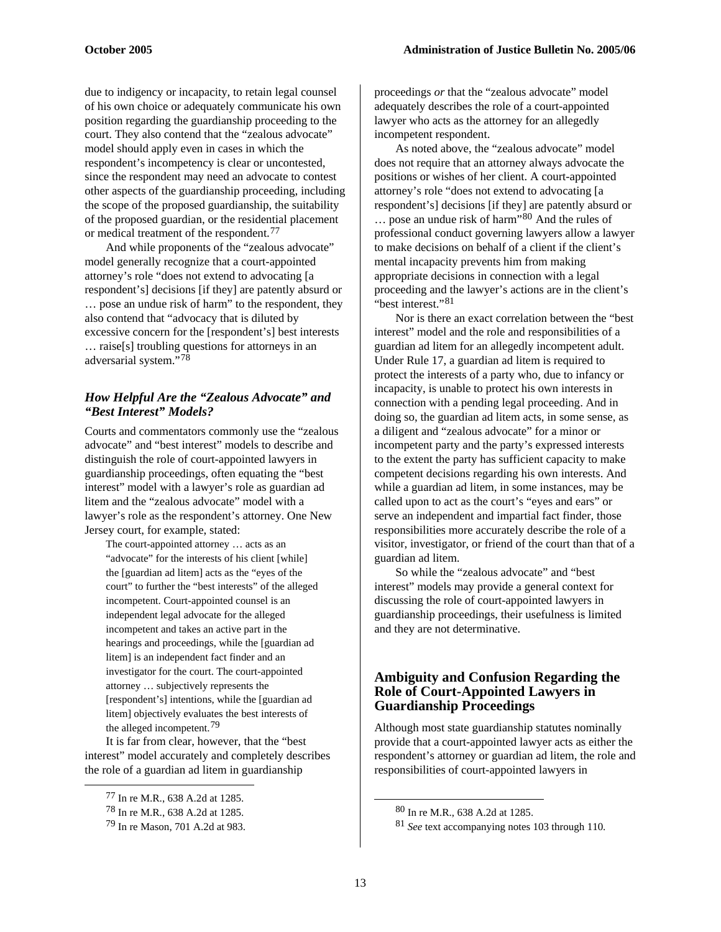due to indigency or incapacity, to retain legal counsel of his own choice or adequately communicate his own position regarding the guardianship proceeding to the court. They also contend that the "zealous advocate" model should apply even in cases in which the respondent's incompetency is clear or uncontested, since the respondent may need an advocate to contest other aspects of the guardianship proceeding, including the scope of the proposed guardianship, the suitability of the proposed guardian, or the residential placement or medical treatment of the respondent.[77](#page-12-0)

And while proponents of the "zealous advocate" model generally recognize that a court-appointed attorney's role "does not extend to advocating [a respondent's] decisions [if they] are patently absurd or … pose an undue risk of harm" to the respondent, they also contend that "advocacy that is diluted by excessive concern for the [respondent's] best interests … raise[s] troubling questions for attorneys in an adversarial system."[78](#page-12-1)

#### *How Helpful Are the "Zealous Advocate" and "Best Interest" Models?*

Courts and commentators commonly use the "zealous advocate" and "best interest" models to describe and distinguish the role of court-appointed lawyers in guardianship proceedings, often equating the "best interest" model with a lawyer's role as guardian ad litem and the "zealous advocate" model with a lawyer's role as the respondent's attorney. One New Jersey court, for example, stated:

The court-appointed attorney … acts as an "advocate" for the interests of his client [while] the [guardian ad litem] acts as the "eyes of the court" to further the "best interests" of the alleged incompetent. Court-appointed counsel is an independent legal advocate for the alleged incompetent and takes an active part in the hearings and proceedings, while the [guardian ad litem] is an independent fact finder and an investigator for the court. The court-appointed attorney … subjectively represents the [respondent's] intentions, while the [guardian ad litem] objectively evaluates the best interests of the alleged incompetent.[79](#page-12-2)

It is far from clear, however, that the "best interest" model accurately and completely describes the role of a guardian ad litem in guardianship

<span id="page-12-2"></span><span id="page-12-1"></span><span id="page-12-0"></span> $\overline{a}$ 

proceedings *or* that the "zealous advocate" model adequately describes the role of a court-appointed lawyer who acts as the attorney for an allegedly incompetent respondent.

As noted above, the "zealous advocate" model does not require that an attorney always advocate the positions or wishes of her client. A court-appointed attorney's role "does not extend to advocating [a respondent's] decisions [if they] are patently absurd or … pose an undue risk of harm"[80](#page-12-1) And the rules of professional conduct governing lawyers allow a lawyer to make decisions on behalf of a client if the client's mental incapacity prevents him from making appropriate decisions in connection with a legal proceeding and the lawyer's actions are in the client's "best interest."<sup>[81](#page-12-2)</sup>

Nor is there an exact correlation between the "best interest" model and the role and responsibilities of a guardian ad litem for an allegedly incompetent adult. Under Rule 17, a guardian ad litem is required to protect the interests of a party who, due to infancy or incapacity, is unable to protect his own interests in connection with a pending legal proceeding. And in doing so, the guardian ad litem acts, in some sense, as a diligent and "zealous advocate" for a minor or incompetent party and the party's expressed interests to the extent the party has sufficient capacity to make competent decisions regarding his own interests. And while a guardian ad litem, in some instances, may be called upon to act as the court's "eyes and ears" or serve an independent and impartial fact finder, those responsibilities more accurately describe the role of a visitor, investigator, or friend of the court than that of a guardian ad litem.

So while the "zealous advocate" and "best interest" models may provide a general context for discussing the role of court-appointed lawyers in guardianship proceedings, their usefulness is limited and they are not determinative.

#### **Ambiguity and Confusion Regarding the Role of Court-Appointed Lawyers in Guardianship Proceedings**

Although most state guardianship statutes nominally provide that a court-appointed lawyer acts as either the respondent's attorney or guardian ad litem, the role and responsibilities of court-appointed lawyers in

 <sup>77</sup> In re M.R., 638 A.2d at 1285.

<sup>78</sup> In re M.R., 638 A.2d at 1285.

<sup>79</sup> In re Mason, 701 A.2d at 983.

<sup>80</sup> In re M.R., 638 A.2d at 1285.

<sup>81</sup> *See* text accompanying notes 103 through 110.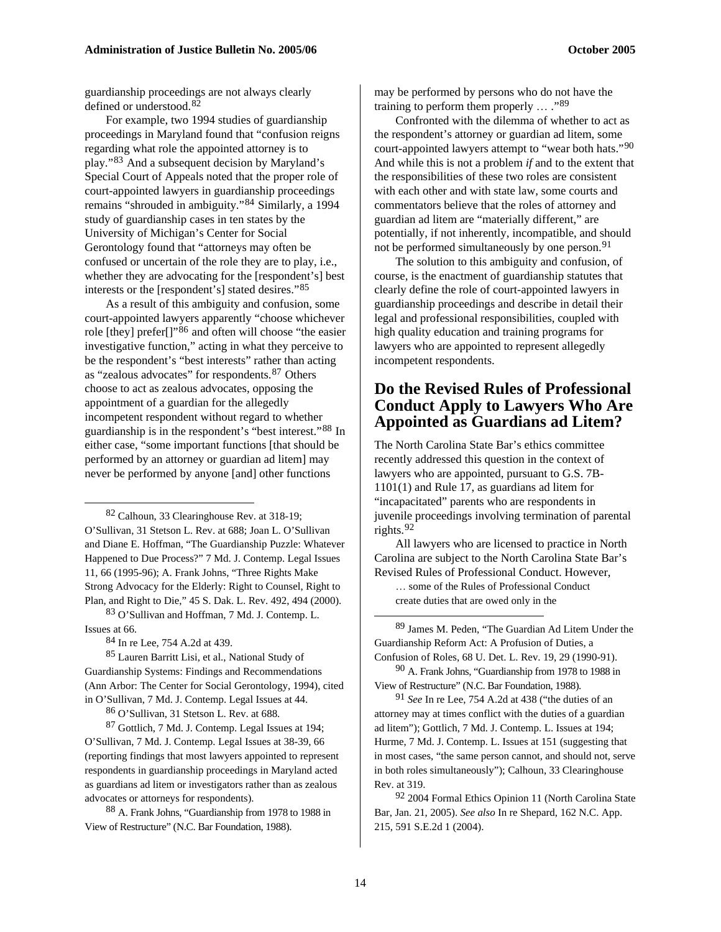guardianship proceedings are not always clearly defined or understood.[82](#page-13-0)

For example, two 1994 studies of guardianship proceedings in Maryland found that "confusion reigns regarding what role the appointed attorney is to play."[83](#page-13-1) And a subsequent decision by Maryland's Special Court of Appeals noted that the proper role of court-appointed lawyers in guardianship proceedings remains "shrouded in ambiguity."[84](#page-13-2) Similarly, a 1994 study of guardianship cases in ten states by the University of Michigan's Center for Social Gerontology found that "attorneys may often be confused or uncertain of the role they are to play, i.e., whether they are advocating for the [respondent's] best interests or the [respondent's] stated desires."[85](#page-13-3)

As a result of this ambiguity and confusion, some court-appointed lawyers apparently "choose whichever role [they] prefer[]"[86](#page-13-4) and often will choose "the easier investigative function," acting in what they perceive to be the respondent's "best interests" rather than acting as "zealous advocates" for respondents.[87](#page-13-5) Others choose to act as zealous advocates, opposing the appointment of a guardian for the allegedly incompetent respondent without regard to whether guardianship is in the respondent's "best interest."[88](#page-13-6) In either case, "some important functions [that should be performed by an attorney or guardian ad litem] may never be performed by anyone [and] other functions

<span id="page-13-0"></span>82 Calhoun, 33 Clearinghouse Rev. at 318-19; O'Sullivan, 31 Stetson L. Rev. at 688; Joan L. O'Sullivan and Diane E. Hoffman, "The Guardianship Puzzle: Whatever Happened to Due Process?" 7 Md. J. Contemp. Legal Issues 11, 66 (1995-96); A. Frank Johns, "Three Rights Make Strong Advocacy for the Elderly: Right to Counsel, Right to Plan, and Right to Die," 45 S. Dak. L. Rev. 492, 494 (2000).

<span id="page-13-7"></span><span id="page-13-1"></span>83 O'Sullivan and Hoffman, 7 Md. J. Contemp. L. Issues at 66.

84 In re Lee, 754 A.2d at 439.

 $\overline{a}$ 

<span id="page-13-8"></span><span id="page-13-3"></span><span id="page-13-2"></span>85 Lauren Barritt Lisi, et al., National Study of Guardianship Systems: Findings and Recommendations (Ann Arbor: The Center for Social Gerontology, 1994), cited in O'Sullivan, 7 Md. J. Contemp. Legal Issues at 44.

86 O'Sullivan, 31 Stetson L. Rev. at 688.

<span id="page-13-9"></span><span id="page-13-5"></span><span id="page-13-4"></span>87 Gottlich, 7 Md. J. Contemp. Legal Issues at 194; O'Sullivan, 7 Md. J. Contemp. Legal Issues at 38-39, 66 (reporting findings that most lawyers appointed to represent respondents in guardianship proceedings in Maryland acted as guardians ad litem or investigators rather than as zealous advocates or attorneys for respondents).

<span id="page-13-10"></span><span id="page-13-6"></span>88 A. Frank Johns, "Guardianship from 1978 to 1988 in View of Restructure" (N.C. Bar Foundation, 1988).

may be performed by persons who do not have the training to perform them properly  $\ldots$  ...<sup>[89](#page-13-7)</sup>

Confronted with the dilemma of whether to act as the respondent's attorney or guardian ad litem, some court-appointed lawyers attempt to "wear both hats."[90](#page-13-8) And while this is not a problem *if* and to the extent that the responsibilities of these two roles are consistent with each other and with state law, some courts and commentators believe that the roles of attorney and guardian ad litem are "materially different," are potentially, if not inherently, incompatible, and should not be performed simultaneously by one person.<sup>[91](#page-13-9)</sup>

The solution to this ambiguity and confusion, of course, is the enactment of guardianship statutes that clearly define the role of court-appointed lawyers in guardianship proceedings and describe in detail their legal and professional responsibilities, coupled with high quality education and training programs for lawyers who are appointed to represent allegedly incompetent respondents.

## **Do the Revised Rules of Professional Conduct Apply to Lawyers Who Are Appointed as Guardians ad Litem?**

The North Carolina State Bar's ethics committee recently addressed this question in the context of lawyers who are appointed, pursuant to G.S. 7B-1101(1) and Rule 17, as guardians ad litem for "incapacitated" parents who are respondents in juvenile proceedings involving termination of parental rights.[92](#page-13-10)

All lawyers who are licensed to practice in North Carolina are subject to the North Carolina State Bar's Revised Rules of Professional Conduct. However,

… some of the Rules of Professional Conduct create duties that are owed only in the

89 James M. Peden, "The Guardian Ad Litem Under the Guardianship Reform Act: A Profusion of Duties, a Confusion of Roles, 68 U. Det. L. Rev. 19, 29 (1990-91).

90 A. Frank Johns, "Guardianship from 1978 to 1988 in View of Restructure" (N.C. Bar Foundation, 1988).

91 *See* In re Lee, 754 A.2d at 438 ("the duties of an attorney may at times conflict with the duties of a guardian ad litem"); Gottlich, 7 Md. J. Contemp. L. Issues at 194; Hurme, 7 Md. J. Contemp. L. Issues at 151 (suggesting that in most cases, "the same person cannot, and should not, serve in both roles simultaneously"); Calhoun, 33 Clearinghouse Rev. at 319.

92 2004 Formal Ethics Opinion 11 (North Carolina State Bar, Jan. 21, 2005). *See also* In re Shepard, 162 N.C. App. 215, 591 S.E.2d 1 (2004).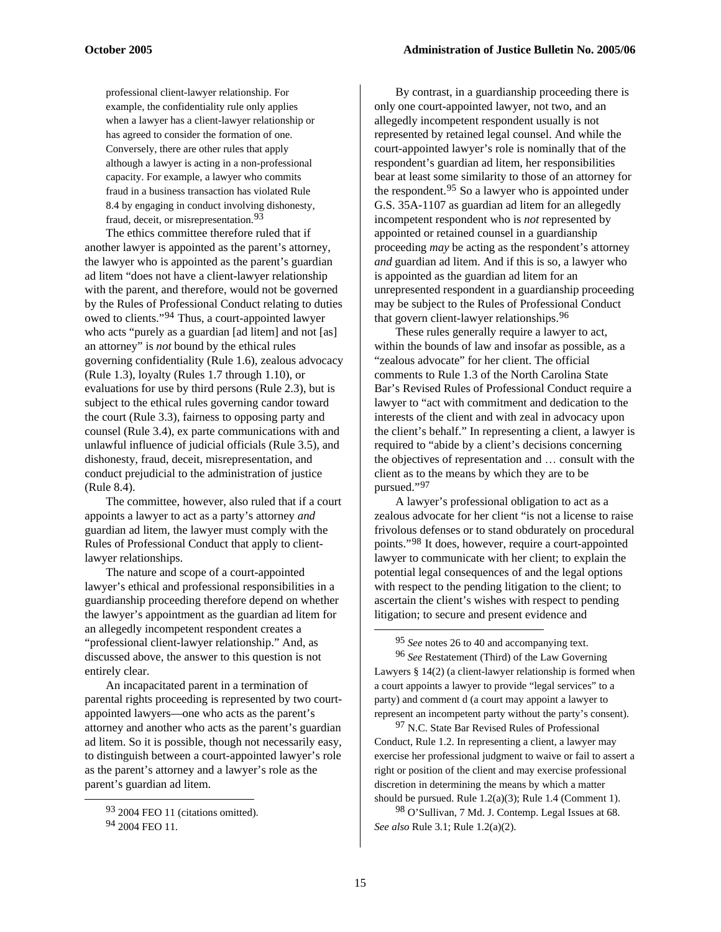professional client-lawyer relationship. For example, the confidentiality rule only applies when a lawyer has a client-lawyer relationship or has agreed to consider the formation of one. Conversely, there are other rules that apply although a lawyer is acting in a non-professional capacity. For example, a lawyer who commits fraud in a business transaction has violated Rule 8.4 by engaging in conduct involving dishonesty, fraud, deceit, or misrepresentation.<sup>[93](#page-14-0)</sup>

The ethics committee therefore ruled that if another lawyer is appointed as the parent's attorney, the lawyer who is appointed as the parent's guardian ad litem "does not have a client-lawyer relationship with the parent, and therefore, would not be governed by the Rules of Professional Conduct relating to duties owed to clients."[94](#page-14-1) Thus, a court-appointed lawyer who acts "purely as a guardian [ad litem] and not [as] an attorney" is *not* bound by the ethical rules governing confidentiality (Rule 1.6), zealous advocacy (Rule 1.3), loyalty (Rules 1.7 through 1.10), or evaluations for use by third persons (Rule 2.3), but is subject to the ethical rules governing candor toward the court (Rule 3.3), fairness to opposing party and counsel (Rule 3.4), ex parte communications with and unlawful influence of judicial officials (Rule 3.5), and dishonesty, fraud, deceit, misrepresentation, and conduct prejudicial to the administration of justice (Rule 8.4).

The committee, however, also ruled that if a court appoints a lawyer to act as a party's attorney *and*  guardian ad litem, the lawyer must comply with the Rules of Professional Conduct that apply to clientlawyer relationships.

The nature and scope of a court-appointed lawyer's ethical and professional responsibilities in a guardianship proceeding therefore depend on whether the lawyer's appointment as the guardian ad litem for an allegedly incompetent respondent creates a "professional client-lawyer relationship." And, as discussed above, the answer to this question is not entirely clear.

<span id="page-14-4"></span><span id="page-14-3"></span><span id="page-14-2"></span>An incapacitated parent in a termination of parental rights proceeding is represented by two courtappointed lawyers—one who acts as the parent's attorney and another who acts as the parent's guardian ad litem. So it is possible, though not necessarily easy, to distinguish between a court-appointed lawyer's role as the parent's attorney and a lawyer's role as the parent's guardian ad litem.

<span id="page-14-1"></span><span id="page-14-0"></span> $\overline{a}$ 

By contrast, in a guardianship proceeding there is only one court-appointed lawyer, not two, and an allegedly incompetent respondent usually is not represented by retained legal counsel. And while the court-appointed lawyer's role is nominally that of the respondent's guardian ad litem, her responsibilities bear at least some similarity to those of an attorney for the respondent.[95](#page-14-2) So a lawyer who is appointed under G.S. 35A-1107 as guardian ad litem for an allegedly incompetent respondent who is *not* represented by appointed or retained counsel in a guardianship proceeding *may* be acting as the respondent's attorney *and* guardian ad litem. And if this is so, a lawyer who is appointed as the guardian ad litem for an unrepresented respondent in a guardianship proceeding may be subject to the Rules of Professional Conduct that govern client-lawyer relationships.<sup>[96](#page-14-3)</sup>

These rules generally require a lawyer to act, within the bounds of law and insofar as possible, as a "zealous advocate" for her client. The official comments to Rule 1.3 of the North Carolina State Bar's Revised Rules of Professional Conduct require a lawyer to "act with commitment and dedication to the interests of the client and with zeal in advocacy upon the client's behalf." In representing a client, a lawyer is required to "abide by a client's decisions concerning the objectives of representation and … consult with the client as to the means by which they are to be pursued."[97](#page-14-4)

A lawyer's professional obligation to act as a zealous advocate for her client "is not a license to raise frivolous defenses or to stand obdurately on procedural points."[98](#page-14-0) It does, however, require a court-appointed lawyer to communicate with her client; to explain the potential legal consequences of and the legal options with respect to the pending litigation to the client; to ascertain the client's wishes with respect to pending litigation; to secure and present evidence and

95 *See* notes 26 to 40 and accompanying text.

96 *See* Restatement (Third) of the Law Governing Lawyers § 14(2) (a client-lawyer relationship is formed when a court appoints a lawyer to provide "legal services" to a party) and comment d (a court may appoint a lawyer to represent an incompetent party without the party's consent).

<sup>97</sup> N.C. State Bar Revised Rules of Professional Conduct, Rule 1.2. In representing a client, a lawyer may exercise her professional judgment to waive or fail to assert a right or position of the client and may exercise professional discretion in determining the means by which a matter should be pursued. Rule 1.2(a)(3); Rule 1.4 (Comment 1).

98 O'Sullivan, 7 Md. J. Contemp. Legal Issues at 68. *See also* Rule 3.1; Rule 1.2(a)(2).

<sup>93 2004</sup> FEO 11 (citations omitted).

<sup>94 2004</sup> FEO 11.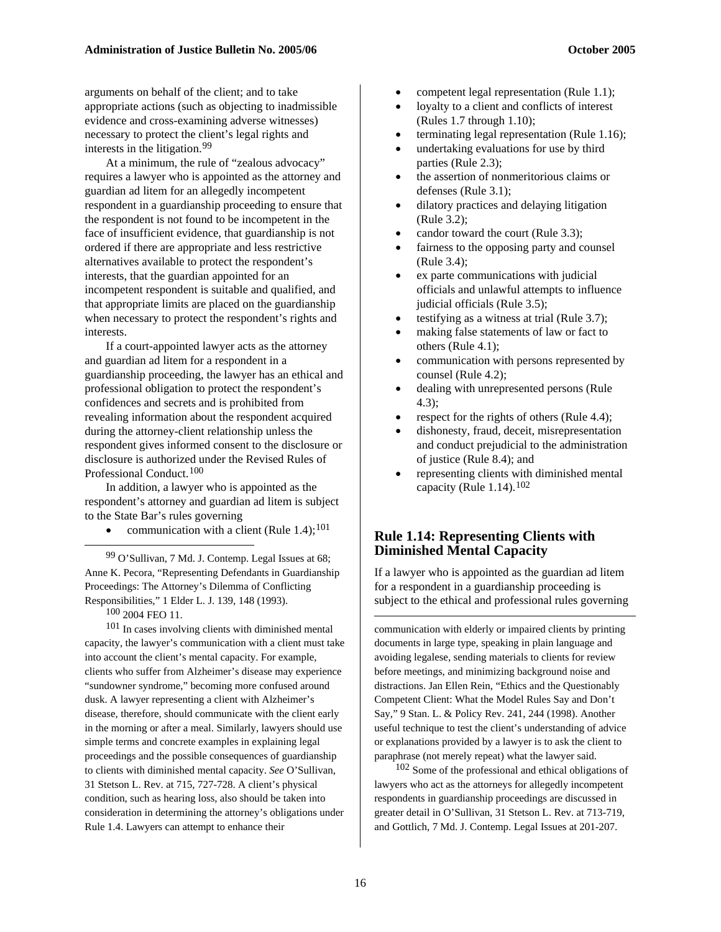arguments on behalf of the client; and to take appropriate actions (such as objecting to inadmissible evidence and cross-examining adverse witnesses) necessary to protect the client's legal rights and interests in the litigation.[99](#page-15-0)

At a minimum, the rule of "zealous advocacy" requires a lawyer who is appointed as the attorney and guardian ad litem for an allegedly incompetent respondent in a guardianship proceeding to ensure that the respondent is not found to be incompetent in the face of insufficient evidence, that guardianship is not ordered if there are appropriate and less restrictive alternatives available to protect the respondent's interests, that the guardian appointed for an incompetent respondent is suitable and qualified, and that appropriate limits are placed on the guardianship when necessary to protect the respondent's rights and interests.

If a court-appointed lawyer acts as the attorney and guardian ad litem for a respondent in a guardianship proceeding, the lawyer has an ethical and professional obligation to protect the respondent's confidences and secrets and is prohibited from revealing information about the respondent acquired during the attorney-client relationship unless the respondent gives informed consent to the disclosure or disclosure is authorized under the Revised Rules of Professional Conduct.[100](#page-15-1)

In addition, a lawyer who is appointed as the respondent's attorney and guardian ad litem is subject to the State Bar's rules governing

• communication with a client (Rule 1.4);<sup>[101](#page-15-2)</sup>

<span id="page-15-0"></span>99 O'Sullivan, 7 Md. J. Contemp. Legal Issues at 68; Anne K. Pecora, "Representing Defendants in Guardianship Proceedings: The Attorney's Dilemma of Conflicting Responsibilities," 1 Elder L. J. 139, 148 (1993).

100 2004 FEO 11.

1

<span id="page-15-3"></span><span id="page-15-2"></span><span id="page-15-1"></span>101 In cases involving clients with diminished mental capacity, the lawyer's communication with a client must take into account the client's mental capacity. For example, clients who suffer from Alzheimer's disease may experience "sundowner syndrome," becoming more confused around dusk. A lawyer representing a client with Alzheimer's disease, therefore, should communicate with the client early in the morning or after a meal. Similarly, lawyers should use simple terms and concrete examples in explaining legal proceedings and the possible consequences of guardianship to clients with diminished mental capacity. *See* O'Sullivan, 31 Stetson L. Rev. at 715, 727-728. A client's physical condition, such as hearing loss, also should be taken into consideration in determining the attorney's obligations under Rule 1.4. Lawyers can attempt to enhance their

- competent legal representation (Rule 1.1);
- loyalty to a client and conflicts of interest (Rules 1.7 through 1.10);
- terminating legal representation (Rule 1.16);
- undertaking evaluations for use by third parties (Rule 2.3);
- the assertion of nonmeritorious claims or defenses (Rule 3.1);
- dilatory practices and delaying litigation (Rule 3.2);
- candor toward the court (Rule 3.3);
- fairness to the opposing party and counsel (Rule 3.4);
- ex parte communications with judicial officials and unlawful attempts to influence judicial officials (Rule 3.5);
- testifying as a witness at trial (Rule 3.7);
- making false statements of law or fact to others (Rule 4.1);
- communication with persons represented by counsel (Rule 4.2);
- dealing with unrepresented persons (Rule 4.3);
- respect for the rights of others (Rule 4.4);
- dishonesty, fraud, deceit, misrepresentation and conduct prejudicial to the administration of justice (Rule 8.4); and
- representing clients with diminished mental capacity (Rule  $1.14$ ).<sup>[102](#page-15-3)</sup>

#### **Rule 1.14: Representing Clients with Diminished Mental Capacity**

If a lawyer who is appointed as the guardian ad litem for a respondent in a guardianship proceeding is subject to the ethical and professional rules governing

communication with elderly or impaired clients by printing documents in large type, speaking in plain language and avoiding legalese, sending materials to clients for review before meetings, and minimizing background noise and distractions. Jan Ellen Rein, "Ethics and the Questionably Competent Client: What the Model Rules Say and Don't Say," 9 Stan. L. & Policy Rev. 241, 244 (1998). Another useful technique to test the client's understanding of advice or explanations provided by a lawyer is to ask the client to paraphrase (not merely repeat) what the lawyer said.

102 Some of the professional and ethical obligations of lawyers who act as the attorneys for allegedly incompetent respondents in guardianship proceedings are discussed in greater detail in O'Sullivan, 31 Stetson L. Rev. at 713-719, and Gottlich, 7 Md. J. Contemp. Legal Issues at 201-207.

1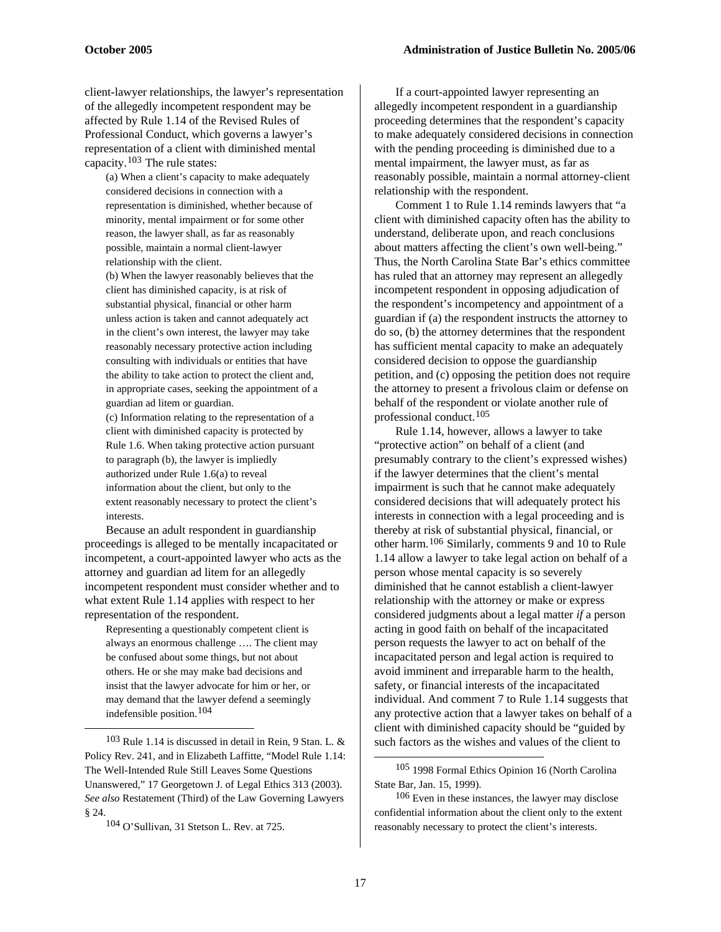client-lawyer relationships, the lawyer's representation of the allegedly incompetent respondent may be affected by Rule 1.14 of the Revised Rules of Professional Conduct, which governs a lawyer's representation of a client with diminished mental capacity.[103](#page-16-0) The rule states:

(a) When a client's capacity to make adequately considered decisions in connection with a representation is diminished, whether because of minority, mental impairment or for some other reason, the lawyer shall, as far as reasonably possible, maintain a normal client-lawyer relationship with the client.

(b) When the lawyer reasonably believes that the client has diminished capacity, is at risk of substantial physical, financial or other harm unless action is taken and cannot adequately act in the client's own interest, the lawyer may take reasonably necessary protective action including consulting with individuals or entities that have the ability to take action to protect the client and, in appropriate cases, seeking the appointment of a guardian ad litem or guardian.

(c) Information relating to the representation of a client with diminished capacity is protected by Rule 1.6. When taking protective action pursuant to paragraph (b), the lawyer is impliedly authorized under Rule 1.6(a) to reveal information about the client, but only to the extent reasonably necessary to protect the client's interests.

Because an adult respondent in guardianship proceedings is alleged to be mentally incapacitated or incompetent, a court-appointed lawyer who acts as the attorney and guardian ad litem for an allegedly incompetent respondent must consider whether and to what extent Rule 1.14 applies with respect to her representation of the respondent.

Representing a questionably competent client is always an enormous challenge …. The client may be confused about some things, but not about others. He or she may make bad decisions and insist that the lawyer advocate for him or her, or may demand that the lawyer defend a seemingly indefensible position.[104](#page-16-1)

<span id="page-16-3"></span><span id="page-16-2"></span><span id="page-16-0"></span>103 Rule 1.14 is discussed in detail in Rein, 9 Stan. L. & Policy Rev. 241, and in Elizabeth Laffitte, "Model Rule 1.14: The Well-Intended Rule Still Leaves Some Questions Unanswered," 17 Georgetown J. of Legal Ethics 313 (2003). *See also* Restatement (Third) of the Law Governing Lawyers § 24.

 $\overline{a}$ 

If a court-appointed lawyer representing an allegedly incompetent respondent in a guardianship proceeding determines that the respondent's capacity to make adequately considered decisions in connection with the pending proceeding is diminished due to a mental impairment, the lawyer must, as far as reasonably possible, maintain a normal attorney-client relationship with the respondent.

Comment 1 to Rule 1.14 reminds lawyers that "a client with diminished capacity often has the ability to understand, deliberate upon, and reach conclusions about matters affecting the client's own well-being." Thus, the North Carolina State Bar's ethics committee has ruled that an attorney may represent an allegedly incompetent respondent in opposing adjudication of the respondent's incompetency and appointment of a guardian if (a) the respondent instructs the attorney to do so, (b) the attorney determines that the respondent has sufficient mental capacity to make an adequately considered decision to oppose the guardianship petition, and (c) opposing the petition does not require the attorney to present a frivolous claim or defense on behalf of the respondent or violate another rule of professional conduct.[105](#page-16-2)

Rule 1.14, however, allows a lawyer to take "protective action" on behalf of a client (and presumably contrary to the client's expressed wishes) if the lawyer determines that the client's mental impairment is such that he cannot make adequately considered decisions that will adequately protect his interests in connection with a legal proceeding and is thereby at risk of substantial physical, financial, or other harm.[106](#page-16-3) Similarly, comments 9 and 10 to Rule 1.14 allow a lawyer to take legal action on behalf of a person whose mental capacity is so severely diminished that he cannot establish a client-lawyer relationship with the attorney or make or express considered judgments about a legal matter *if* a person acting in good faith on behalf of the incapacitated person requests the lawyer to act on behalf of the incapacitated person and legal action is required to avoid imminent and irreparable harm to the health, safety, or financial interests of the incapacitated individual. And comment 7 to Rule 1.14 suggests that any protective action that a lawyer takes on behalf of a client with diminished capacity should be "guided by such factors as the wishes and values of the client to

<span id="page-16-1"></span><sup>104</sup> O'Sullivan, 31 Stetson L. Rev. at 725.

<sup>105 1998</sup> Formal Ethics Opinion 16 (North Carolina State Bar, Jan. 15, 1999).

<sup>&</sup>lt;sup>106</sup> Even in these instances, the lawyer may disclose confidential information about the client only to the extent reasonably necessary to protect the client's interests.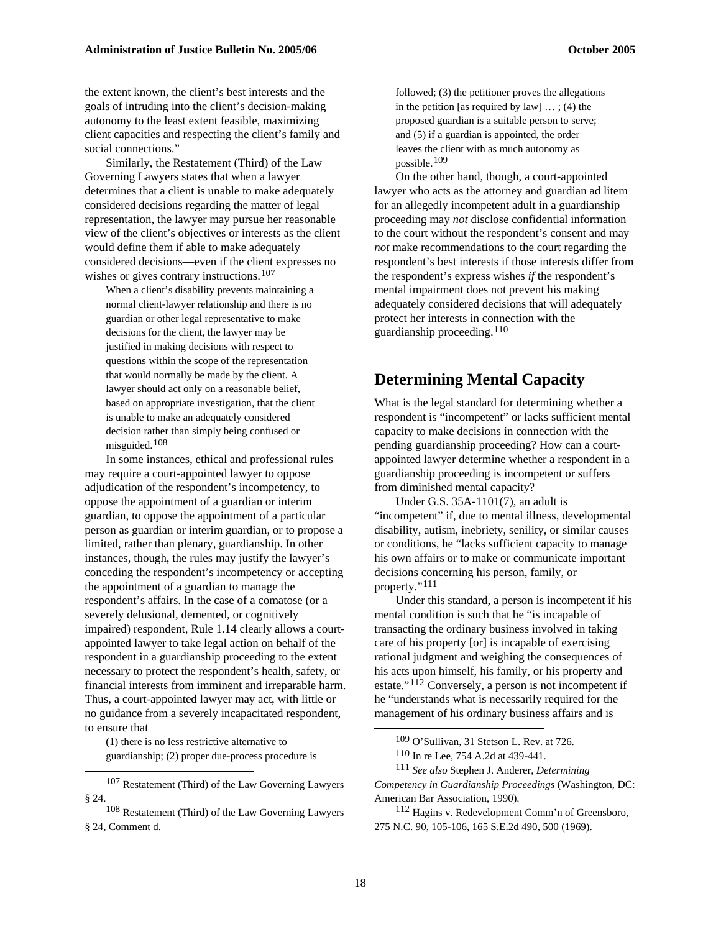the extent known, the client's best interests and the goals of intruding into the client's decision-making autonomy to the least extent feasible, maximizing client capacities and respecting the client's family and social connections."

Similarly, the Restatement (Third) of the Law Governing Lawyers states that when a lawyer determines that a client is unable to make adequately considered decisions regarding the matter of legal representation, the lawyer may pursue her reasonable view of the client's objectives or interests as the client would define them if able to make adequately considered decisions—even if the client expresses no wishes or gives contrary instructions.<sup>[107](#page-17-0)</sup>

When a client's disability prevents maintaining a normal client-lawyer relationship and there is no guardian or other legal representative to make decisions for the client, the lawyer may be justified in making decisions with respect to questions within the scope of the representation that would normally be made by the client. A lawyer should act only on a reasonable belief, based on appropriate investigation, that the client is unable to make an adequately considered decision rather than simply being confused or misguided.[108](#page-17-1)

In some instances, ethical and professional rules may require a court-appointed lawyer to oppose adjudication of the respondent's incompetency, to oppose the appointment of a guardian or interim guardian, to oppose the appointment of a particular person as guardian or interim guardian, or to propose a limited, rather than plenary, guardianship. In other instances, though, the rules may justify the lawyer's conceding the respondent's incompetency or accepting the appointment of a guardian to manage the respondent's affairs. In the case of a comatose (or a severely delusional, demented, or cognitively impaired) respondent, Rule 1.14 clearly allows a courtappointed lawyer to take legal action on behalf of the respondent in a guardianship proceeding to the extent necessary to protect the respondent's health, safety, or financial interests from imminent and irreparable harm. Thus, a court-appointed lawyer may act, with little or no guidance from a severely incapacitated respondent, to ensure that

(1) there is no less restrictive alternative to guardianship; (2) proper due-process procedure is

<span id="page-17-3"></span><span id="page-17-2"></span> $\overline{a}$ 

<span id="page-17-4"></span><span id="page-17-0"></span>107 Restatement (Third) of the Law Governing Lawyers § 24.

<span id="page-17-1"></span>108 Restatement (Third) of the Law Governing Lawyers § 24, Comment d.

followed; (3) the petitioner proves the allegations in the petition [as required by  $law$ ]  $\ldots$ ; (4) the proposed guardian is a suitable person to serve; and (5) if a guardian is appointed, the order leaves the client with as much autonomy as possible.[109](#page-17-2)

On the other hand, though, a court-appointed lawyer who acts as the attorney and guardian ad litem for an allegedly incompetent adult in a guardianship proceeding may *not* disclose confidential information to the court without the respondent's consent and may *not* make recommendations to the court regarding the respondent's best interests if those interests differ from the respondent's express wishes *if* the respondent's mental impairment does not prevent his making adequately considered decisions that will adequately protect her interests in connection with the guardianship proceeding.[110](#page-17-3)

## **Determining Mental Capacity**

What is the legal standard for determining whether a respondent is "incompetent" or lacks sufficient mental capacity to make decisions in connection with the pending guardianship proceeding? How can a courtappointed lawyer determine whether a respondent in a guardianship proceeding is incompetent or suffers from diminished mental capacity?

Under G.S. 35A-1101(7), an adult is "incompetent" if, due to mental illness, developmental disability, autism, inebriety, senility, or similar causes or conditions, he "lacks sufficient capacity to manage his own affairs or to make or communicate important decisions concerning his person, family, or property."[111](#page-17-4)

Under this standard, a person is incompetent if his mental condition is such that he "is incapable of transacting the ordinary business involved in taking care of his property [or] is incapable of exercising rational judgment and weighing the consequences of his acts upon himself, his family, or his property and estate."[112](#page-17-1) Conversely, a person is not incompetent if he "understands what is necessarily required for the management of his ordinary business affairs and is

<sup>109</sup> O'Sullivan, 31 Stetson L. Rev. at 726. 110 In re Lee, 754 A.2d at 439-441.

111 *See also* Stephen J. Anderer, *Determining* 

*Competency in Guardianship Proceedings* (Washington, DC: American Bar Association, 1990).

112 Hagins v. Redevelopment Comm'n of Greensboro, 275 N.C. 90, 105-106, 165 S.E.2d 490, 500 (1969).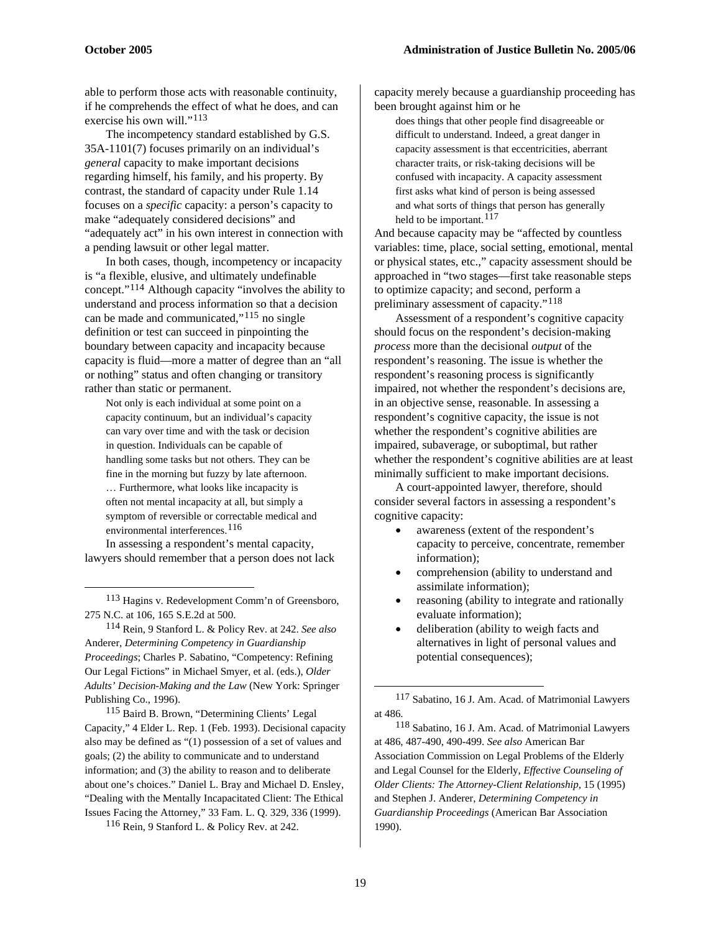able to perform those acts with reasonable continuity, if he comprehends the effect of what he does, and can exercise his own will."<sup>[113](#page-18-0)</sup>

The incompetency standard established by G.S. 35A-1101(7) focuses primarily on an individual's *general* capacity to make important decisions regarding himself, his family, and his property. By contrast, the standard of capacity under Rule 1.14 focuses on a *specific* capacity: a person's capacity to make "adequately considered decisions" and "adequately act" in his own interest in connection with a pending lawsuit or other legal matter.

In both cases, though, incompetency or incapacity is "a flexible, elusive, and ultimately undefinable concept."[114](#page-18-1) Although capacity "involves the ability to understand and process information so that a decision can be made and communicated,"[115](#page-18-2) no single definition or test can succeed in pinpointing the boundary between capacity and incapacity because capacity is fluid—more a matter of degree than an "all or nothing" status and often changing or transitory rather than static or permanent.

Not only is each individual at some point on a capacity continuum, but an individual's capacity can vary over time and with the task or decision in question. Individuals can be capable of handling some tasks but not others. They can be fine in the morning but fuzzy by late afternoon. … Furthermore, what looks like incapacity is often not mental incapacity at all, but simply a symptom of reversible or correctable medical and environmental interferences.<sup>[116](#page-18-3)</sup>

In assessing a respondent's mental capacity, lawyers should remember that a person does not lack

 $\overline{a}$ 

<span id="page-18-0"></span>113 Hagins v. Redevelopment Comm'n of Greensboro, 275 N.C. at 106, 165 S.E.2d at 500.

<span id="page-18-1"></span>114 Rein, 9 Stanford L. & Policy Rev. at 242. *See also*  Anderer, *Determining Competency in Guardianship Proceedings*; Charles P. Sabatino, "Competency: Refining Our Legal Fictions" in Michael Smyer, et al. (eds.), *Older Adults' Decision-Making and the Law* (New York: Springer Publishing Co., 1996).

<span id="page-18-5"></span><span id="page-18-4"></span><span id="page-18-2"></span>115 Baird B. Brown, "Determining Clients' Legal Capacity," 4 Elder L. Rep. 1 (Feb. 1993). Decisional capacity also may be defined as "(1) possession of a set of values and goals; (2) the ability to communicate and to understand information; and (3) the ability to reason and to deliberate about one's choices." Daniel L. Bray and Michael D. Ensley, "Dealing with the Mentally Incapacitated Client: The Ethical Issues Facing the Attorney," 33 Fam. L. Q. 329, 336 (1999).

<span id="page-18-3"></span>116 Rein, 9 Stanford L. & Policy Rev. at 242.

capacity merely because a guardianship proceeding has been brought against him or he

does things that other people find disagreeable or difficult to understand. Indeed, a great danger in capacity assessment is that eccentricities, aberrant character traits, or risk-taking decisions will be confused with incapacity. A capacity assessment first asks what kind of person is being assessed and what sorts of things that person has generally held to be important.  $117$ 

And because capacity may be "affected by countless variables: time, place, social setting, emotional, mental or physical states, etc.," capacity assessment should be approached in "two stages—first take reasonable steps to optimize capacity; and second, perform a preliminary assessment of capacity."[118](#page-18-5)

Assessment of a respondent's cognitive capacity should focus on the respondent's decision-making *process* more than the decisional *output* of the respondent's reasoning. The issue is whether the respondent's reasoning process is significantly impaired, not whether the respondent's decisions are, in an objective sense, reasonable. In assessing a respondent's cognitive capacity, the issue is not whether the respondent's cognitive abilities are impaired, subaverage, or suboptimal, but rather whether the respondent's cognitive abilities are at least minimally sufficient to make important decisions.

A court-appointed lawyer, therefore, should consider several factors in assessing a respondent's cognitive capacity:

- awareness (extent of the respondent's capacity to perceive, concentrate, remember information);
- comprehension (ability to understand and assimilate information);
- reasoning (ability to integrate and rationally evaluate information);
- deliberation (ability to weigh facts and alternatives in light of personal values and potential consequences);

118 Sabatino, 16 J. Am. Acad. of Matrimonial Lawyers at 486, 487-490, 490-499. *See also* American Bar Association Commission on Legal Problems of the Elderly and Legal Counsel for the Elderly, *Effective Counseling of Older Clients: The Attorney-Client Relationship*, 15 (1995) and Stephen J. Anderer, *Determining Competency in Guardianship Proceedings* (American Bar Association 1990).

<sup>117</sup> Sabatino, 16 J. Am. Acad. of Matrimonial Lawyers at 486.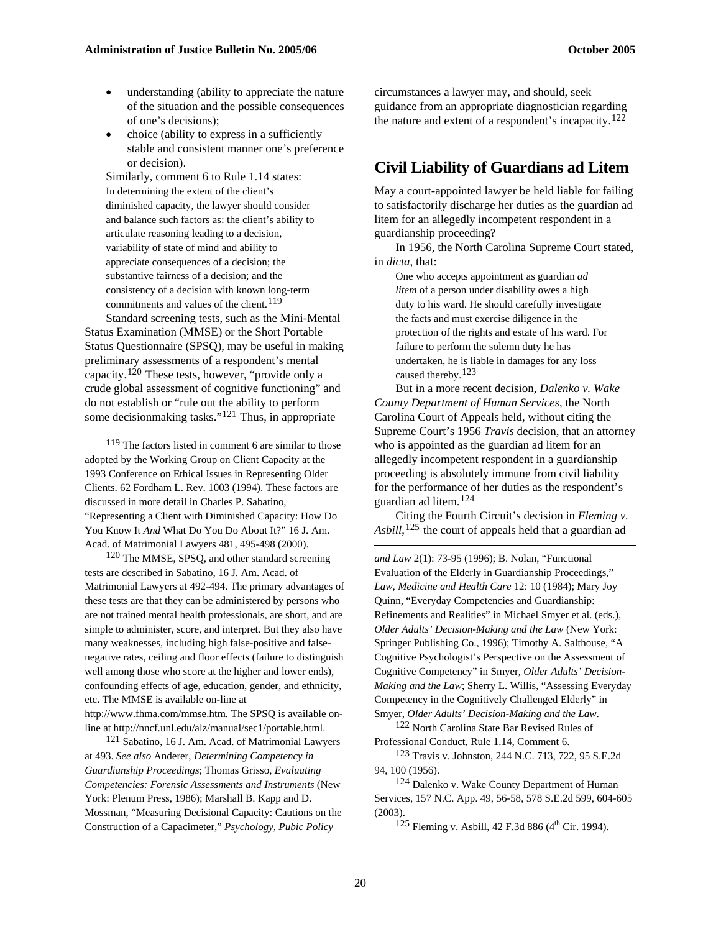- understanding (ability to appreciate the nature of the situation and the possible consequences of one's decisions);
- choice (ability to express in a sufficiently stable and consistent manner one's preference or decision).

Similarly, comment 6 to Rule 1.14 states: In determining the extent of the client's diminished capacity, the lawyer should consider and balance such factors as: the client's ability to articulate reasoning leading to a decision, variability of state of mind and ability to appreciate consequences of a decision; the substantive fairness of a decision; and the consistency of a decision with known long-term commitments and values of the client.<sup>[119](#page-19-0)</sup>

Standard screening tests, such as the Mini-Mental Status Examination (MMSE) or the Short Portable Status Questionnaire (SPSQ), may be useful in making preliminary assessments of a respondent's mental capacity.[120](#page-19-1) These tests, however, "provide only a crude global assessment of cognitive functioning" and do not establish or "rule out the ability to perform some decisionmaking tasks."[121](#page-19-2) Thus, in appropriate

<span id="page-19-0"></span>119 The factors listed in comment 6 are similar to those adopted by the Working Group on Client Capacity at the 1993 Conference on Ethical Issues in Representing Older Clients. 62 Fordham L. Rev. 1003 (1994). These factors are discussed in more detail in Charles P. Sabatino, "Representing a Client with Diminished Capacity: How Do You Know It *And* What Do You Do About It?" 16 J. Am. Acad. of Matrimonial Lawyers 481, 495-498 (2000).

1

<span id="page-19-1"></span>120 The MMSE, SPSQ, and other standard screening tests are described in Sabatino, 16 J. Am. Acad. of Matrimonial Lawyers at 492-494. The primary advantages of these tests are that they can be administered by persons who are not trained mental health professionals, are short, and are simple to administer, score, and interpret. But they also have many weaknesses, including high false-positive and falsenegative rates, ceiling and floor effects (failure to distinguish well among those who score at the higher and lower ends), confounding effects of age, education, gender, and ethnicity, etc. The MMSE is available on-line at [http://www.fhma.com/mmse.htm.](http://www.fhma.com/mmse.htm) The SPSQ is available on-

<span id="page-19-3"></span>line at<http://nncf.unl.edu/alz/manual/sec1/portable.html>.

<span id="page-19-6"></span><span id="page-19-5"></span><span id="page-19-4"></span><span id="page-19-2"></span>121 Sabatino, 16 J. Am. Acad. of Matrimonial Lawyers at 493. *See also* Anderer, *Determining Competency in Guardianship Proceedings*; Thomas Grisso, *Evaluating Competencies: Forensic Assessments and Instruments* (New York: Plenum Press, 1986); Marshall B. Kapp and D. Mossman, "Measuring Decisional Capacity: Cautions on the Construction of a Capacimeter," *Psychology, Pubic Policy* 

circumstances a lawyer may, and should, seek guidance from an appropriate diagnostician regarding the nature and extent of a respondent's incapacity.<sup>[122](#page-19-3)</sup>

## **Civil Liability of Guardians ad Litem**

May a court-appointed lawyer be held liable for failing to satisfactorily discharge her duties as the guardian ad litem for an allegedly incompetent respondent in a guardianship proceeding?

In 1956, the North Carolina Supreme Court stated, in *dicta*, that:

One who accepts appointment as guardian *ad litem* of a person under disability owes a high duty to his ward. He should carefully investigate the facts and must exercise diligence in the protection of the rights and estate of his ward. For failure to perform the solemn duty he has undertaken, he is liable in damages for any loss caused thereby.[123](#page-19-4)

But in a more recent decision, *Dalenko v. Wake County Department of Human Services*, the North Carolina Court of Appeals held, without citing the Supreme Court's 1956 *Travis* decision, that an attorney who is appointed as the guardian ad litem for an allegedly incompetent respondent in a guardianship proceeding is absolutely immune from civil liability for the performance of her duties as the respondent's guardian ad litem.[124](#page-19-5)

Citing the Fourth Circuit's decision in *Fleming v. Asbill*, [125](#page-19-6) the court of appeals held that a guardian ad

*and Law* 2(1): 73-95 (1996); B. Nolan, "Functional Evaluation of the Elderly in Guardianship Proceedings," *Law, Medicine and Health Care* 12: 10 (1984); Mary Joy Quinn, "Everyday Competencies and Guardianship: Refinements and Realities" in Michael Smyer et al. (eds.), *Older Adults' Decision-Making and the Law* (New York: Springer Publishing Co., 1996); Timothy A. Salthouse, "A Cognitive Psychologist's Perspective on the Assessment of Cognitive Competency" in Smyer, *Older Adults' Decision-Making and the Law*; Sherry L. Willis, "Assessing Everyday Competency in the Cognitively Challenged Elderly" in Smyer, *Older Adults' Decision-Making and the Law*.

<sup>122</sup> North Carolina State Bar Revised Rules of Professional Conduct, Rule 1.14, Comment 6.

123 Travis v. Johnston, 244 N.C. 713, 722, 95 S.E.2d 94, 100 (1956).

<sup>124</sup> Dalenko v. Wake County Department of Human Services, 157 N.C. App. 49, 56-58, 578 S.E.2d 599, 604-605 (2003).

 $125$  Fleming v. Asbill, 42 F.3d 886 (4<sup>th</sup> Cir. 1994).

1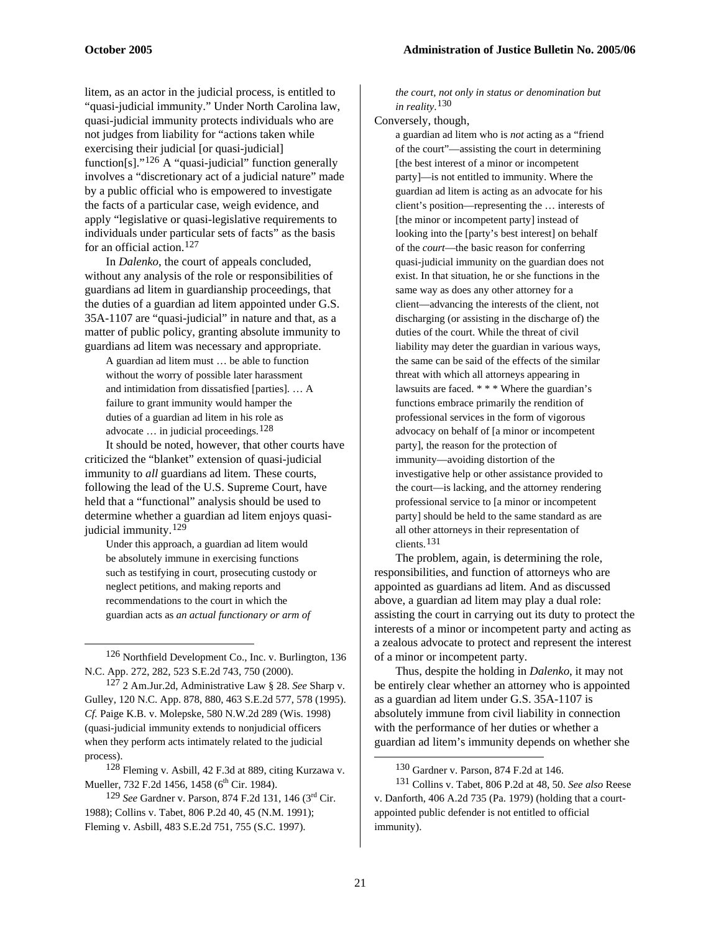litem, as an actor in the judicial process, is entitled to "quasi-judicial immunity." Under North Carolina law, quasi-judicial immunity protects individuals who are not judges from liability for "actions taken while exercising their judicial [or quasi-judicial] function[s]."<sup>[126](#page-20-0)</sup> A "quasi-judicial" function generally involves a "discretionary act of a judicial nature" made by a public official who is empowered to investigate the facts of a particular case, weigh evidence, and apply "legislative or quasi-legislative requirements to individuals under particular sets of facts" as the basis for an official action.[127](#page-20-1)

In *Dalenko*, the court of appeals concluded, without any analysis of the role or responsibilities of guardians ad litem in guardianship proceedings, that the duties of a guardian ad litem appointed under G.S. 35A-1107 are "quasi-judicial" in nature and that, as a matter of public policy, granting absolute immunity to guardians ad litem was necessary and appropriate.

A guardian ad litem must … be able to function without the worry of possible later harassment and intimidation from dissatisfied [parties]. … A failure to grant immunity would hamper the duties of a guardian ad litem in his role as advocate  $\ldots$  in judicial proceedings.<sup>[128](#page-20-2)</sup>

It should be noted, however, that other courts have criticized the "blanket" extension of quasi-judicial immunity to *all* guardians ad litem. These courts, following the lead of the U.S. Supreme Court, have held that a "functional" analysis should be used to determine whether a guardian ad litem enjoys quasijudicial immunity.[129](#page-20-3)

Under this approach, a guardian ad litem would be absolutely immune in exercising functions such as testifying in court, prosecuting custody or neglect petitions, and making reports and recommendations to the court in which the guardian acts as *an actual functionary or arm of* 

 $\overline{a}$ 

<span id="page-20-4"></span><span id="page-20-2"></span>128 Fleming v. Asbill, 42 F.3d at 889, citing Kurzawa v. Mueller, 732 F.2d 1456, 1458 (6<sup>th</sup> Cir. 1984).

<span id="page-20-3"></span>129 *See* Gardner v. Parson, 874 F.2d 131, 146 (3rd Cir. 1988); Collins v. Tabet, 806 P.2d 40, 45 (N.M. 1991); Fleming v. Asbill, 483 S.E.2d 751, 755 (S.C. 1997).

*the court, not only in status or denomination but in reality*. [130](#page-20-2)

Conversely, though,

a guardian ad litem who is *not* acting as a "friend of the court"—assisting the court in determining [the best interest of a minor or incompetent party]—is not entitled to immunity. Where the guardian ad litem is acting as an advocate for his client's position—representing the … interests of [the minor or incompetent party] instead of looking into the [party's best interest] on behalf of the *court*—the basic reason for conferring quasi-judicial immunity on the guardian does not exist. In that situation, he or she functions in the same way as does any other attorney for a client—advancing the interests of the client, not discharging (or assisting in the discharge of) the duties of the court. While the threat of civil liability may deter the guardian in various ways, the same can be said of the effects of the similar threat with which all attorneys appearing in lawsuits are faced. \* \* \* Where the guardian's functions embrace primarily the rendition of professional services in the form of vigorous advocacy on behalf of [a minor or incompetent party], the reason for the protection of immunity—avoiding distortion of the investigative help or other assistance provided to the court—is lacking, and the attorney rendering professional service to [a minor or incompetent party] should be held to the same standard as are all other attorneys in their representation of clients.[131](#page-20-4)

The problem, again, is determining the role, responsibilities, and function of attorneys who are appointed as guardians ad litem. And as discussed above, a guardian ad litem may play a dual role: assisting the court in carrying out its duty to protect the interests of a minor or incompetent party and acting as a zealous advocate to protect and represent the interest of a minor or incompetent party.

Thus, despite the holding in *Dalenko*, it may not be entirely clear whether an attorney who is appointed as a guardian ad litem under G.S. 35A-1107 is absolutely immune from civil liability in connection with the performance of her duties or whether a guardian ad litem's immunity depends on whether she

<span id="page-20-0"></span><sup>126</sup> Northfield Development Co., Inc. v. Burlington, 136 N.C. App. 272, 282, 523 S.E.2d 743, 750 (2000).

<span id="page-20-1"></span><sup>127 2</sup> Am.Jur.2d, Administrative Law § 28. *See* Sharp v. Gulley, 120 N.C. App. 878, 880, 463 S.E.2d 577, 578 (1995). *Cf.* Paige K.B. v. Molepske, 580 N.W.2d 289 (Wis. 1998) (quasi-judicial immunity extends to nonjudicial officers when they perform acts intimately related to the judicial process).

<sup>130</sup> Gardner v. Parson, 874 F.2d at 146.

<sup>131</sup> Collins v. Tabet, 806 P.2d at 48, 50. *See also* Reese v. Danforth, 406 A.2d 735 (Pa. 1979) (holding that a courtappointed public defender is not entitled to official immunity).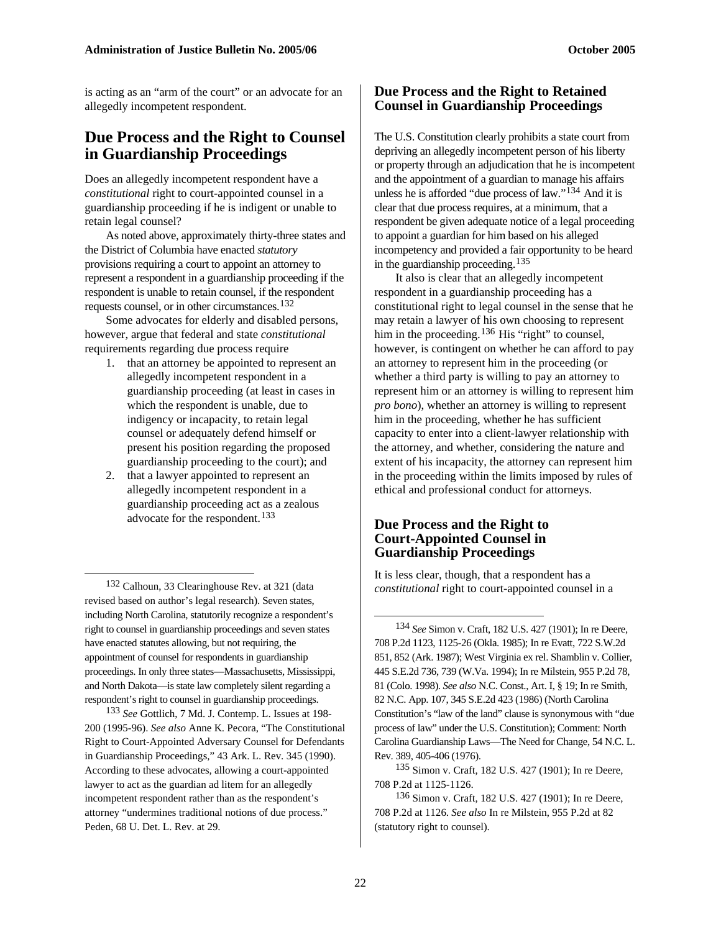is acting as an "arm of the court" or an advocate for an allegedly incompetent respondent.

## **Due Process and the Right to Counsel in Guardianship Proceedings**

Does an allegedly incompetent respondent have a *constitutional* right to court-appointed counsel in a guardianship proceeding if he is indigent or unable to retain legal counsel?

As noted above, approximately thirty-three states and the District of Columbia have enacted *statutory*  provisions requiring a court to appoint an attorney to represent a respondent in a guardianship proceeding if the respondent is unable to retain counsel, if the respondent requests counsel, or in other circumstances.[132](#page-21-0)

Some advocates for elderly and disabled persons, however, argue that federal and state *constitutional* requirements regarding due process require

- 1. that an attorney be appointed to represent an allegedly incompetent respondent in a guardianship proceeding (at least in cases in which the respondent is unable, due to indigency or incapacity, to retain legal counsel or adequately defend himself or present his position regarding the proposed guardianship proceeding to the court); and
- 2. that a lawyer appointed to represent an allegedly incompetent respondent in a guardianship proceeding act as a zealous advocate for the respondent.<sup>[133](#page-21-1)</sup>

<span id="page-21-2"></span><span id="page-21-0"></span>132 Calhoun, 33 Clearinghouse Rev. at 321 (data revised based on author's legal research). Seven states, including North Carolina, statutorily recognize a respondent's right to counsel in guardianship proceedings and seven states have enacted statutes allowing, but not requiring, the appointment of counsel for respondents in guardianship proceedings. In only three states—Massachusetts, Mississippi, and North Dakota—is state law completely silent regarding a respondent's right to counsel in guardianship proceedings.

 $\overline{a}$ 

<span id="page-21-4"></span><span id="page-21-3"></span><span id="page-21-1"></span>133 *See* Gottlich, 7 Md. J. Contemp. L. Issues at 198- 200 (1995-96). *See also* Anne K. Pecora, "The Constitutional Right to Court-Appointed Adversary Counsel for Defendants in Guardianship Proceedings," 43 Ark. L. Rev. 345 (1990). According to these advocates, allowing a court-appointed lawyer to act as the guardian ad litem for an allegedly incompetent respondent rather than as the respondent's attorney "undermines traditional notions of due process." Peden, 68 U. Det. L. Rev. at 29.

#### **Due Process and the Right to Retained Counsel in Guardianship Proceedings**

The U.S. Constitution clearly prohibits a state court from depriving an allegedly incompetent person of his liberty or property through an adjudication that he is incompetent and the appointment of a guardian to manage his affairs unless he is afforded "due process of law."<sup>[134](#page-21-2)</sup> And it is clear that due process requires, at a minimum, that a respondent be given adequate notice of a legal proceeding to appoint a guardian for him based on his alleged incompetency and provided a fair opportunity to be heard in the guardianship proceeding.[135](#page-21-3)

It also is clear that an allegedly incompetent respondent in a guardianship proceeding has a constitutional right to legal counsel in the sense that he may retain a lawyer of his own choosing to represent him in the proceeding.<sup>[136](#page-21-4)</sup> His "right" to counsel, however, is contingent on whether he can afford to pay an attorney to represent him in the proceeding (or whether a third party is willing to pay an attorney to represent him or an attorney is willing to represent him *pro bono*), whether an attorney is willing to represent him in the proceeding, whether he has sufficient capacity to enter into a client-lawyer relationship with the attorney, and whether, considering the nature and extent of his incapacity, the attorney can represent him in the proceeding within the limits imposed by rules of ethical and professional conduct for attorneys.

#### **Due Process and the Right to Court-Appointed Counsel in Guardianship Proceedings**

It is less clear, though, that a respondent has a *constitutional* right to court-appointed counsel in a

134 *See* Simon v. Craft, 182 U.S. 427 (1901); In re Deere, 708 P.2d 1123, 1125-26 (Okla. 1985); In re Evatt, 722 S.W.2d 851, 852 (Ark. 1987); West Virginia ex rel. Shamblin v. Collier, 445 S.E.2d 736, 739 (W.Va. 1994); In re Milstein, 955 P.2d 78, 81 (Colo. 1998). *See also* N.C. Const., Art. I, § 19; In re Smith, 82 N.C. App. 107, 345 S.E.2d 423 (1986) (North Carolina Constitution's "law of the land" clause is synonymous with "due process of law" under the U.S. Constitution); Comment: North Carolina Guardianship Laws—The Need for Change, 54 N.C. L. Rev. 389, 405-406 (1976).

135 Simon v. Craft, 182 U.S. 427 (1901); In re Deere, 708 P.2d at 1125-1126.

136 Simon v. Craft, 182 U.S. 427 (1901); In re Deere, 708 P.2d at 1126. *See also* In re Milstein, 955 P.2d at 82 (statutory right to counsel).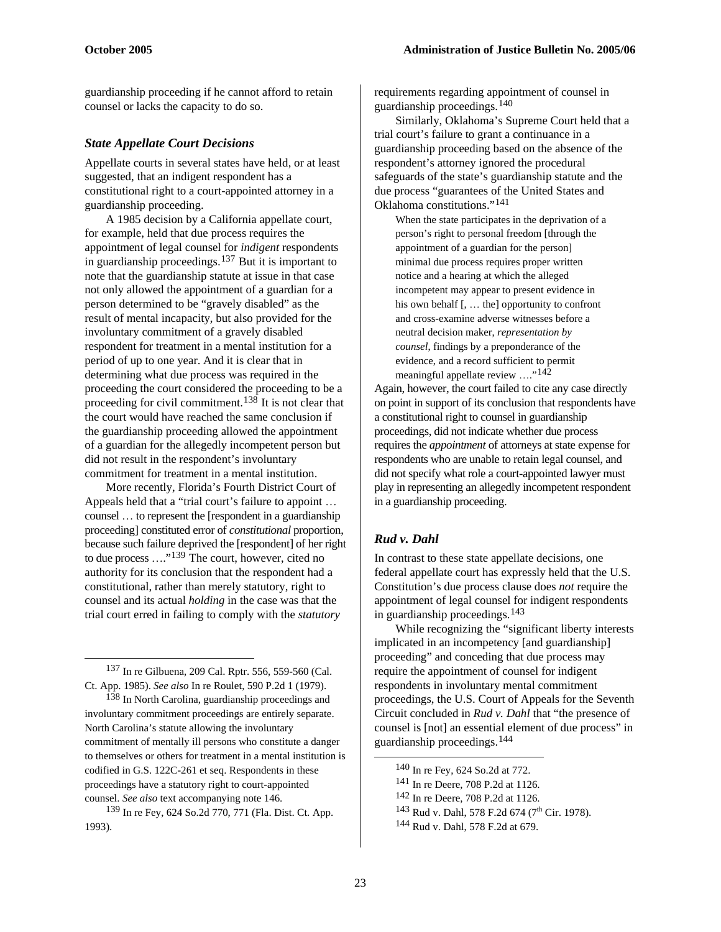guardianship proceeding if he cannot afford to retain counsel or lacks the capacity to do so.

#### *State Appellate Court Decisions*

Appellate courts in several states have held, or at least suggested, that an indigent respondent has a constitutional right to a court-appointed attorney in a guardianship proceeding.

A 1985 decision by a California appellate court, for example, held that due process requires the appointment of legal counsel for *indigent* respondents in guardianship proceedings.[137](#page-22-0) But it is important to note that the guardianship statute at issue in that case not only allowed the appointment of a guardian for a person determined to be "gravely disabled" as the result of mental incapacity, but also provided for the involuntary commitment of a gravely disabled respondent for treatment in a mental institution for a period of up to one year. And it is clear that in determining what due process was required in the proceeding the court considered the proceeding to be a proceeding for civil commitment.<sup>[138](#page-22-1)</sup> It is not clear that the court would have reached the same conclusion if the guardianship proceeding allowed the appointment of a guardian for the allegedly incompetent person but did not result in the respondent's involuntary commitment for treatment in a mental institution.

More recently, Florida's Fourth District Court of Appeals held that a "trial court's failure to appoint … counsel … to represent the [respondent in a guardianship proceeding] constituted error of *constitutional* proportion, because such failure deprived the [respondent] of her right to due process …."[139](#page-22-2) The court, however, cited no authority for its conclusion that the respondent had a constitutional, rather than merely statutory, right to counsel and its actual *holding* in the case was that the trial court erred in failing to comply with the *statutory* 

<span id="page-22-0"></span>137 In re Gilbuena, 209 Cal. Rptr. 556, 559-560 (Cal. Ct. App. 1985). *See also* In re Roulet, 590 P.2d 1 (1979).

 $\overline{a}$ 

<span id="page-22-1"></span>138 In North Carolina, guardianship proceedings and involuntary commitment proceedings are entirely separate. North Carolina's statute allowing the involuntary commitment of mentally ill persons who constitute a danger to themselves or others for treatment in a mental institution is codified in G.S. 122C-261 et seq. Respondents in these proceedings have a statutory right to court-appointed counsel. *See also* text accompanying note 146.

<span id="page-22-6"></span><span id="page-22-5"></span><span id="page-22-4"></span><span id="page-22-3"></span><span id="page-22-2"></span>139 In re Fey, 624 So.2d 770, 771 (Fla. Dist. Ct. App. 1993).

requirements regarding appointment of counsel in guardianship proceedings.[140](#page-22-3)

Similarly, Oklahoma's Supreme Court held that a trial court's failure to grant a continuance in a guardianship proceeding based on the absence of the respondent's attorney ignored the procedural safeguards of the state's guardianship statute and the due process "guarantees of the United States and Oklahoma constitutions."[141](#page-22-4)

When the state participates in the deprivation of a person's right to personal freedom [through the appointment of a guardian for the person] minimal due process requires proper written notice and a hearing at which the alleged incompetent may appear to present evidence in his own behalf [, … the] opportunity to confront and cross-examine adverse witnesses before a neutral decision maker, *representation by counsel*, findings by a preponderance of the evidence, and a record sufficient to permit meaningful appellate review ...."<sup>[142](#page-22-5)</sup>

Again, however, the court failed to cite any case directly on point in support of its conclusion that respondents have a constitutional right to counsel in guardianship proceedings, did not indicate whether due process requires the *appointment* of attorneys at state expense for respondents who are unable to retain legal counsel, and did not specify what role a court-appointed lawyer must play in representing an allegedly incompetent respondent in a guardianship proceeding.

## *Rud v. Dahl*

In contrast to these state appellate decisions, one federal appellate court has expressly held that the U.S. Constitution's due process clause does *not* require the appointment of legal counsel for indigent respondents in guardianship proceedings.[143](#page-22-2)

While recognizing the "significant liberty interests implicated in an incompetency [and guardianship] proceeding" and conceding that due process may require the appointment of counsel for indigent respondents in involuntary mental commitment proceedings, the U.S. Court of Appeals for the Seventh Circuit concluded in *Rud v. Dahl* that "the presence of counsel is [not] an essential element of due process" in guardianship proceedings.[144](#page-22-6)

<sup>140</sup> In re Fey, 624 So.2d at 772.

<sup>141</sup> In re Deere, 708 P.2d at 1126.

<sup>142</sup> In re Deere, 708 P.2d at 1126.

<sup>&</sup>lt;sup>143</sup> Rud v. Dahl, 578 F.2d 674 (7<sup>th</sup> Cir. 1978).

<sup>144</sup> Rud v. Dahl, 578 F.2d at 679.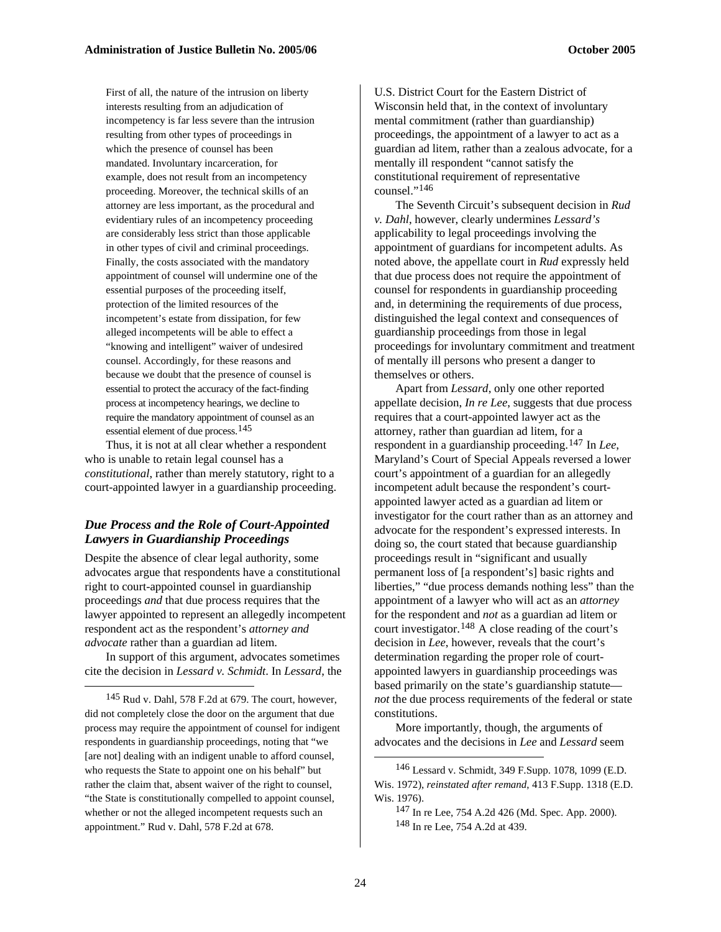First of all, the nature of the intrusion on liberty interests resulting from an adjudication of incompetency is far less severe than the intrusion resulting from other types of proceedings in which the presence of counsel has been mandated. Involuntary incarceration, for example, does not result from an incompetency proceeding. Moreover, the technical skills of an attorney are less important, as the procedural and evidentiary rules of an incompetency proceeding are considerably less strict than those applicable in other types of civil and criminal proceedings. Finally, the costs associated with the mandatory appointment of counsel will undermine one of the essential purposes of the proceeding itself, protection of the limited resources of the incompetent's estate from dissipation, for few alleged incompetents will be able to effect a "knowing and intelligent" waiver of undesired counsel. Accordingly, for these reasons and because we doubt that the presence of counsel is essential to protect the accuracy of the fact-finding process at incompetency hearings, we decline to require the mandatory appointment of counsel as an essential element of due process.[145](#page-23-0)

Thus, it is not at all clear whether a respondent who is unable to retain legal counsel has a *constitutional*, rather than merely statutory, right to a court-appointed lawyer in a guardianship proceeding.

#### *Due Process and the Role of Court-Appointed Lawyers in Guardianship Proceedings*

Despite the absence of clear legal authority, some advocates argue that respondents have a constitutional right to court-appointed counsel in guardianship proceedings *and* that due process requires that the lawyer appointed to represent an allegedly incompetent respondent act as the respondent's *attorney and advocate* rather than a guardian ad litem.

In support of this argument, advocates sometimes cite the decision in *Lessard v. Schmidt*. In *Lessard*, the

 $\overline{a}$ 

U.S. District Court for the Eastern District of Wisconsin held that, in the context of involuntary mental commitment (rather than guardianship) proceedings, the appointment of a lawyer to act as a guardian ad litem, rather than a zealous advocate, for a mentally ill respondent "cannot satisfy the constitutional requirement of representative counsel."[146](#page-23-1)

The Seventh Circuit's subsequent decision in *Rud v. Dahl*, however, clearly undermines *Lessard's*  applicability to legal proceedings involving the appointment of guardians for incompetent adults. As noted above, the appellate court in *Rud* expressly held that due process does not require the appointment of counsel for respondents in guardianship proceeding and, in determining the requirements of due process, distinguished the legal context and consequences of guardianship proceedings from those in legal proceedings for involuntary commitment and treatment of mentally ill persons who present a danger to themselves or others.

Apart from *Lessard*, only one other reported appellate decision, *In re Lee*, suggests that due process requires that a court-appointed lawyer act as the attorney, rather than guardian ad litem, for a respondent in a guardianship proceeding.[147](#page-23-2) In *Lee*, Maryland's Court of Special Appeals reversed a lower court's appointment of a guardian for an allegedly incompetent adult because the respondent's courtappointed lawyer acted as a guardian ad litem or investigator for the court rather than as an attorney and advocate for the respondent's expressed interests. In doing so, the court stated that because guardianship proceedings result in "significant and usually permanent loss of [a respondent's] basic rights and liberties," "due process demands nothing less" than the appointment of a lawyer who will act as an *attorney*  for the respondent and *not* as a guardian ad litem or court investigator.<sup>[148](#page-23-3)</sup> A close reading of the court's decision in *Lee*, however, reveals that the court's determination regarding the proper role of courtappointed lawyers in guardianship proceedings was based primarily on the state's guardianship statute *not* the due process requirements of the federal or state constitutions.

More importantly, though, the arguments of advocates and the decisions in *Lee* and *Lessard* seem

<span id="page-23-3"></span><span id="page-23-2"></span><span id="page-23-1"></span><span id="page-23-0"></span><sup>145</sup> Rud v. Dahl, 578 F.2d at 679. The court, however, did not completely close the door on the argument that due process may require the appointment of counsel for indigent respondents in guardianship proceedings, noting that "we [are not] dealing with an indigent unable to afford counsel, who requests the State to appoint one on his behalf" but rather the claim that, absent waiver of the right to counsel, "the State is constitutionally compelled to appoint counsel, whether or not the alleged incompetent requests such an appointment." Rud v. Dahl, 578 F.2d at 678.

<sup>146</sup> Lessard v. Schmidt, 349 F.Supp. 1078, 1099 (E.D. Wis. 1972), *reinstated after remand*, 413 F.Supp. 1318 (E.D. Wis. 1976).

<sup>147</sup> In re Lee, 754 A.2d 426 (Md. Spec. App. 2000). 148 In re Lee, 754 A.2d at 439.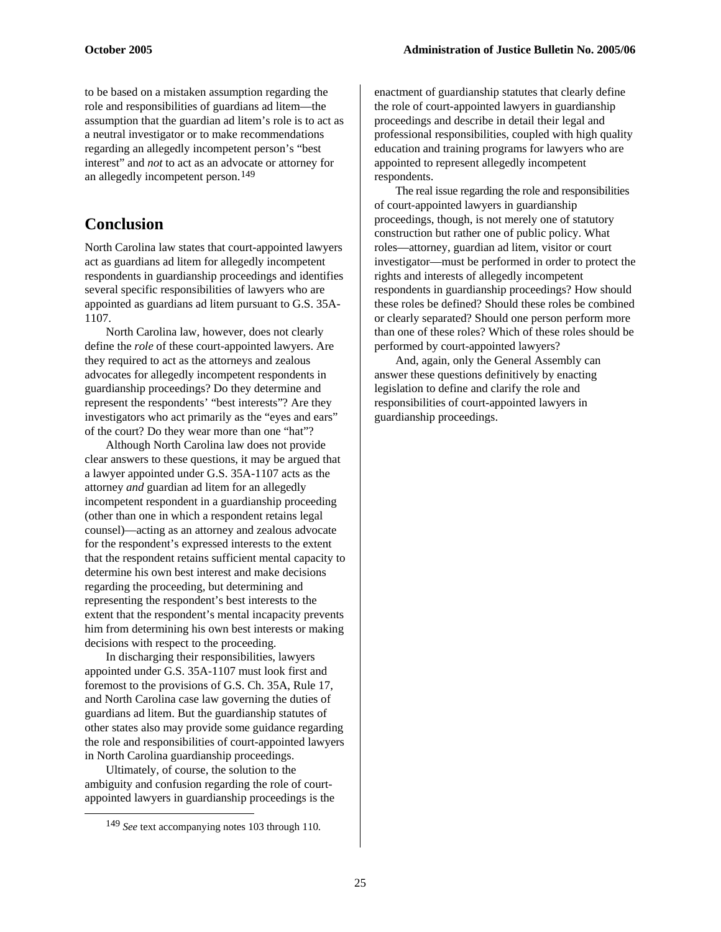to be based on a mistaken assumption regarding the role and responsibilities of guardians ad litem—the assumption that the guardian ad litem's role is to act as a neutral investigator or to make recommendations regarding an allegedly incompetent person's "best interest" and *not* to act as an advocate or attorney for an allegedly incompetent person.[149](#page-24-0)

## **Conclusion**

North Carolina law states that court-appointed lawyers act as guardians ad litem for allegedly incompetent respondents in guardianship proceedings and identifies several specific responsibilities of lawyers who are appointed as guardians ad litem pursuant to G.S. 35A-1107.

North Carolina law, however, does not clearly define the *role* of these court-appointed lawyers. Are they required to act as the attorneys and zealous advocates for allegedly incompetent respondents in guardianship proceedings? Do they determine and represent the respondents' "best interests"? Are they investigators who act primarily as the "eyes and ears" of the court? Do they wear more than one "hat"?

Although North Carolina law does not provide clear answers to these questions, it may be argued that a lawyer appointed under G.S. 35A-1107 acts as the attorney *and* guardian ad litem for an allegedly incompetent respondent in a guardianship proceeding (other than one in which a respondent retains legal counsel)—acting as an attorney and zealous advocate for the respondent's expressed interests to the extent that the respondent retains sufficient mental capacity to determine his own best interest and make decisions regarding the proceeding, but determining and representing the respondent's best interests to the extent that the respondent's mental incapacity prevents him from determining his own best interests or making decisions with respect to the proceeding.

In discharging their responsibilities, lawyers appointed under G.S. 35A-1107 must look first and foremost to the provisions of G.S. Ch. 35A, Rule 17, and North Carolina case law governing the duties of guardians ad litem. But the guardianship statutes of other states also may provide some guidance regarding the role and responsibilities of court-appointed lawyers in North Carolina guardianship proceedings.

<span id="page-24-0"></span>Ultimately, of course, the solution to the ambiguity and confusion regarding the role of courtappointed lawyers in guardianship proceedings is the enactment of guardianship statutes that clearly define the role of court-appointed lawyers in guardianship proceedings and describe in detail their legal and professional responsibilities, coupled with high quality education and training programs for lawyers who are appointed to represent allegedly incompetent respondents.

The real issue regarding the role and responsibilities of court-appointed lawyers in guardianship proceedings, though, is not merely one of statutory construction but rather one of public policy. What roles—attorney, guardian ad litem, visitor or court investigator—must be performed in order to protect the rights and interests of allegedly incompetent respondents in guardianship proceedings? How should these roles be defined? Should these roles be combined or clearly separated? Should one person perform more than one of these roles? Which of these roles should be performed by court-appointed lawyers?

And, again, only the General Assembly can answer these questions definitively by enacting legislation to define and clarify the role and responsibilities of court-appointed lawyers in guardianship proceedings.

 <sup>149</sup> *See* text accompanying notes 103 through 110.